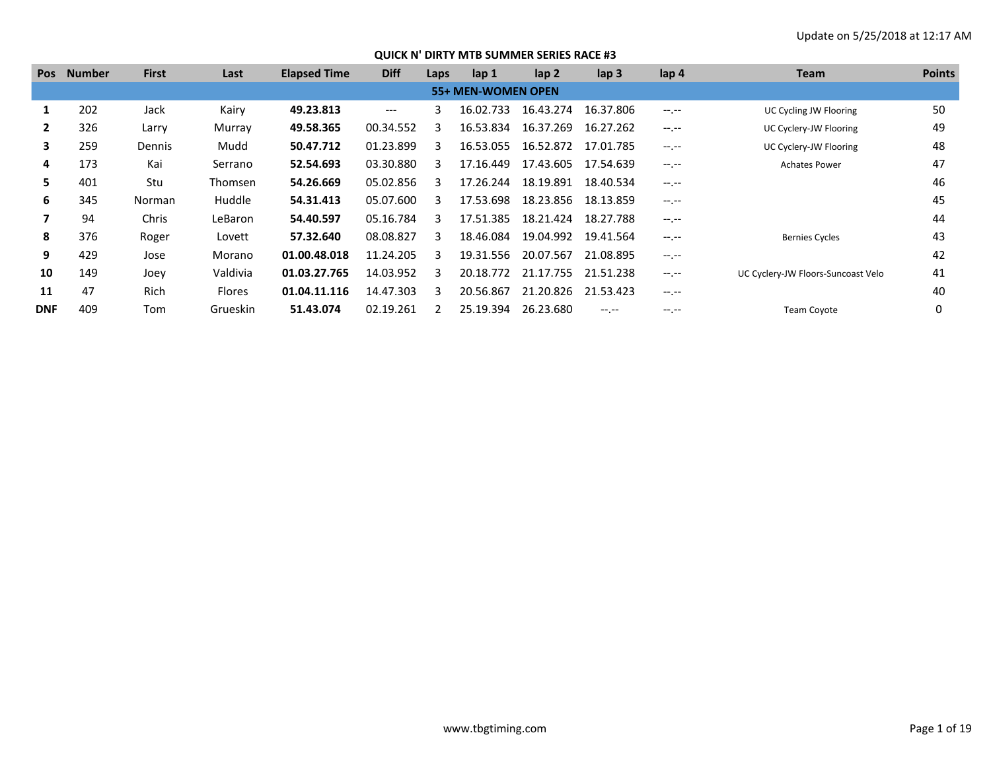| <b>Pos</b>   | <b>Number</b> | <b>First</b>  | Last          | <b>Elapsed Time</b> | <b>Diff</b> | Laps | $\mathsf{lap} 1$          | $\mathsf{lap} 2$ | $\mathsf{lap} 3$ | lap 4       | Team                               | <b>Points</b> |
|--------------|---------------|---------------|---------------|---------------------|-------------|------|---------------------------|------------------|------------------|-------------|------------------------------------|---------------|
|              |               |               |               |                     |             |      | <b>55+ MEN-WOMEN OPEN</b> |                  |                  |             |                                    |               |
| 1            | 202           | Jack          | Kairy         | 49.23.813           | $---$       | 3.   | 16.02.733                 | 16.43.274        | 16.37.806        | $-1$ , $-1$ | UC Cycling JW Flooring             | 50            |
| $\mathbf{2}$ | 326           | Larry         | Murray        | 49.58.365           | 00.34.552   |      | 16.53.834                 | 16.37.269        | 16.27.262        | $-1$ , $-1$ | UC Cyclery-JW Flooring             | 49            |
| 3            | 259           | Dennis        | Mudd          | 50.47.712           | 01.23.899   | २    | 16.53.055                 | 16.52.872        | 17.01.785        | $-1$ , $-1$ | UC Cyclery-JW Flooring             | 48            |
| 4            | 173           | Kai           | Serrano       | 52.54.693           | 03.30.880   | ર    | 17.16.449                 | 17.43.605        | 17.54.639        | $-1$ , $-1$ | <b>Achates Power</b>               | 47            |
| 5.           | 401           | Stu           | Thomsen       | 54.26.669           | 05.02.856   | 3    | 17.26.244                 | 18.19.891        | 18.40.534        | $-1$ , $-1$ |                                    | 46            |
| 6            | 345           | <b>Norman</b> | Huddle        | 54.31.413           | 05.07.600   | २    | 17.53.698                 | 18.23.856        | 18.13.859        | $-1$ , $-1$ |                                    | 45            |
|              | 94            | Chris         | LeBaron       | 54.40.597           | 05.16.784   | ર    | 17.51.385                 | 18.21.424        | 18.27.788        | $-1$ , $-1$ |                                    | 44            |
| 8            | 376           | Roger         | Lovett        | 57.32.640           | 08.08.827   | ₹    | 18.46.084                 | 19.04.992        | 19.41.564        | $-1$ , $-1$ | <b>Bernies Cycles</b>              | 43            |
| 9            | 429           | Jose          | Morano        | 01.00.48.018        | 11.24.205   | ર    | 19.31.556                 | 20.07.567        | 21.08.895        | $-1$ , $-1$ |                                    | 42            |
| 10           | 149           | Joey          | Valdivia      | 01.03.27.765        | 14.03.952   | ર    | 20.18.772                 | 21.17.755        | 21.51.238        | $-1$ , $-1$ | UC Cyclery-JW Floors-Suncoast Velo | 41            |
| 11           | 47            | Rich          | <b>Flores</b> | 01.04.11.116        | 14.47.303   | 3.   | 20.56.867                 | 21.20.826        | 21.53.423        | $-1$ , $-1$ |                                    | 40            |
| <b>DNF</b>   | 409           | Tom           | Grueskin      | 51.43.074           | 02.19.261   |      | 25.19.394                 | 26.23.680        |                  | $-1.1$      | <b>Team Coyote</b>                 | 0             |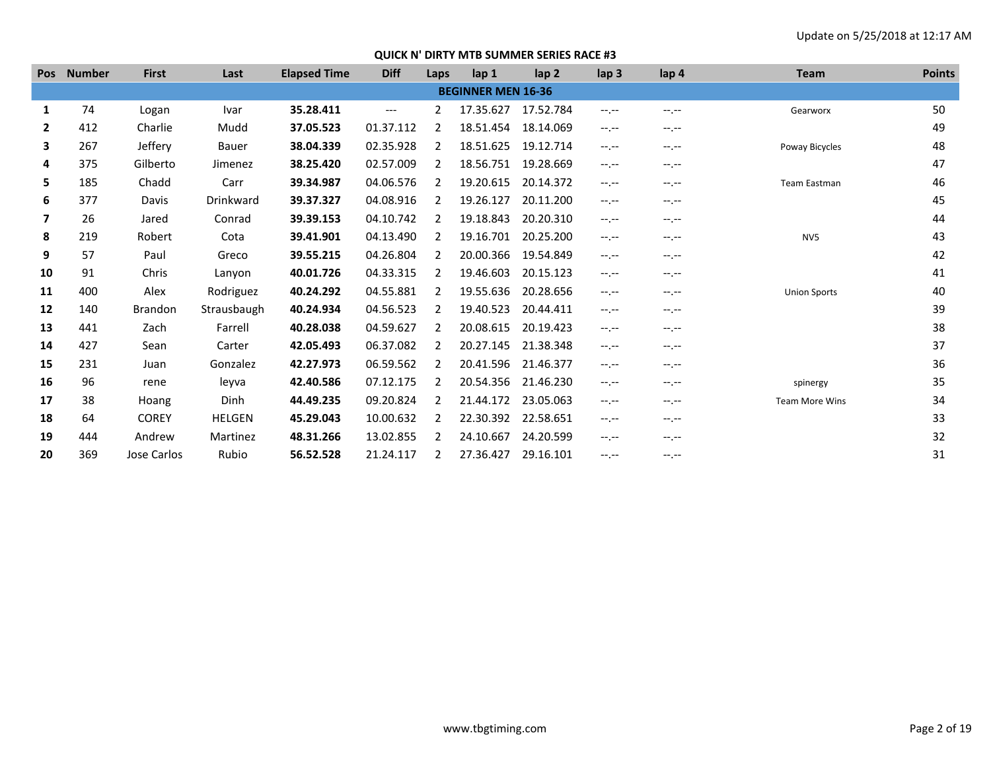| <b>Pos</b>   | <b>Number</b> | <b>First</b>   | Last             | <b>Elapsed Time</b> | <b>Diff</b> | Laps           | lap 1                     | lap <sub>2</sub> | lap <sub>3</sub> | lap 4       | <b>Team</b>           | <b>Points</b> |
|--------------|---------------|----------------|------------------|---------------------|-------------|----------------|---------------------------|------------------|------------------|-------------|-----------------------|---------------|
|              |               |                |                  |                     |             |                | <b>BEGINNER MEN 16-36</b> |                  |                  |             |                       |               |
| 1            | 74            | Logan          | Ivar             | 35.28.411           | $---$       | 2              | 17.35.627                 | 17.52.784        | $-1$ , $-1$      | $-1$ , $-1$ | Gearworx              | 50            |
| $\mathbf{2}$ | 412           | Charlie        | Mudd             | 37.05.523           | 01.37.112   | 2              | 18.51.454                 | 18.14.069        | $-1. -1$         | --.--       |                       | 49            |
| 3            | 267           | Jeffery        | <b>Bauer</b>     | 38.04.339           | 02.35.928   | 2              | 18.51.625                 | 19.12.714        | $-1. -1$         | $-1.1 -$    | Poway Bicycles        | 48            |
| 4            | 375           | Gilberto       | Jimenez          | 38.25.420           | 02.57.009   | 2              | 18.56.751                 | 19.28.669        | $-1. -1$         | $-1.1 -$    |                       | 47            |
| 5            | 185           | Chadd          | Carr             | 39.34.987           | 04.06.576   |                | 19.20.615                 | 20.14.372        | $-1$ , $-1$      | $-1.1 -$    | Team Eastman          | 46            |
| 6            | 377           | <b>Davis</b>   | <b>Drinkward</b> | 39.37.327           | 04.08.916   | $\mathcal{L}$  | 19.26.127                 | 20.11.200        | $-1$ , $-1$      | $-1$ , $-1$ |                       | 45            |
| 7            | 26            | Jared          | Conrad           | 39.39.153           | 04.10.742   | 2              | 19.18.843                 | 20.20.310        | $-1$ , $-1$      | $-1$ , $-1$ |                       | 44            |
| 8            | 219           | Robert         | Cota             | 39.41.901           | 04.13.490   | 2              | 19.16.701                 | 20.25.200        | $-1$ , $-1$      | $-1.1 -$    | NV <sub>5</sub>       | 43            |
| 9            | 57            | Paul           | Greco            | 39.55.215           | 04.26.804   | $\mathcal{P}$  | 20.00.366                 | 19.54.849        | $-1$             | $-1.1 -$    |                       | 42            |
| 10           | 91            | Chris          | Lanyon           | 40.01.726           | 04.33.315   | 2              | 19.46.603                 | 20.15.123        | $-1$ , $-1$      | $-1.1 -$    |                       | 41            |
| 11           | 400           | Alex           | Rodriguez        | 40.24.292           | 04.55.881   |                | 19.55.636                 | 20.28.656        | $-1$             | $-1.1 -$    | <b>Union Sports</b>   | 40            |
| 12           | 140           | <b>Brandon</b> | Strausbaugh      | 40.24.934           | 04.56.523   | 2              | 19.40.523                 | 20.44.411        | $-1$ , $-1$      | $-1.1 -$    |                       | 39            |
| 13           | 441           | Zach           | Farrell          | 40.28.038           | 04.59.627   | 2              | 20.08.615                 | 20.19.423        | $-1$ , $-1$      | $-1$ , $-1$ |                       | 38            |
| 14           | 427           | Sean           | Carter           | 42.05.493           | 06.37.082   | 2              | 20.27.145                 | 21.38.348        | $-1. -1$         | $-1.1 -$    |                       | 37            |
| 15           | 231           | Juan           | Gonzalez         | 42.27.973           | 06.59.562   | $\overline{2}$ | 20.41.596                 | 21.46.377        | $-1$ , $-1$      | $-1.1 -$    |                       | 36            |
| 16           | 96            | rene           | leyva            | 42.40.586           | 07.12.175   | 2              | 20.54.356                 | 21.46.230        | $-1$ , $-1$      | $-1$ , $-1$ | spinergy              | 35            |
| 17           | 38            | Hoang          | Dinh             | 44.49.235           | 09.20.824   |                | 21.44.172                 | 23.05.063        | $-1. -1$         | $-1.1 -$    | <b>Team More Wins</b> | 34            |
| 18           | 64            | <b>COREY</b>   | <b>HELGEN</b>    | 45.29.043           | 10.00.632   | $\mathcal{P}$  | 22.30.392                 | 22.58.651        | $-1$ , $-1$      | $-1$ , $-1$ |                       | 33            |
| 19           | 444           | Andrew         | Martinez         | 48.31.266           | 13.02.855   | $\mathcal{P}$  | 24.10.667                 | 24.20.599        | $-1. -1$         | --.--       |                       | 32            |
| 20           | 369           | Jose Carlos    | Rubio            | 56.52.528           | 21.24.117   |                | 27.36.427                 | 29.16.101        | $-1$ , $-1$      | --.--       |                       | 31            |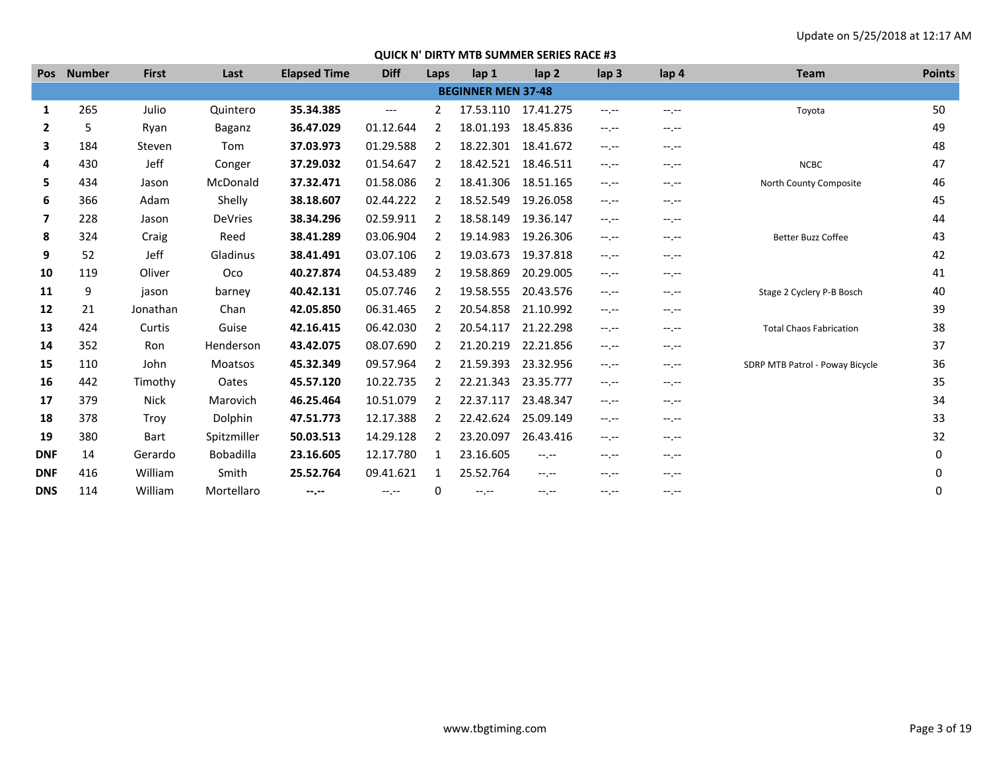| <b>Pos</b>     | <b>Number</b> | <b>First</b> | Last             | <b>Elapsed Time</b> | <b>Diff</b> | Laps           | lap <sub>1</sub>          | lap <sub>2</sub> | $\mathsf{lap} 3$ | lap 4            | <b>Team</b>                     | <b>Points</b> |
|----------------|---------------|--------------|------------------|---------------------|-------------|----------------|---------------------------|------------------|------------------|------------------|---------------------------------|---------------|
|                |               |              |                  |                     |             |                | <b>BEGINNER MEN 37-48</b> |                  |                  |                  |                                 |               |
| 1              | 265           | Julio        | Quintero         | 35.34.385           | $---$       | $\overline{2}$ | 17.53.110                 | 17.41.275        | $-1$ , $-1$      | $-1 - 1 - 1 = 0$ | Toyota                          | 50            |
| $\mathbf{2}$   | 5             | Ryan         | Baganz           | 36.47.029           | 01.12.644   | 2              | 18.01.193                 | 18.45.836        | $-1$ , $-1$      | $-1$ , $-1$      |                                 | 49            |
| 3              | 184           | Steven       | Tom              | 37.03.973           | 01.29.588   | 2              | 18.22.301                 | 18.41.672        | $-1.7 -$         | $-1. - -$        |                                 | 48            |
| 4              | 430           | Jeff         | Conger           | 37.29.032           | 01.54.647   | 2              | 18.42.521                 | 18.46.511        | $-1$ , $-1$      | $-1$ , $-1$      | <b>NCBC</b>                     | 47            |
| 5              | 434           | Jason        | McDonald         | 37.32.471           | 01.58.086   | 2              | 18.41.306                 | 18.51.165        | $-1$             | $-1.1 -$         | North County Composite          | 46            |
| 6              | 366           | Adam         | Shelly           | 38.18.607           | 02.44.222   | 2              | 18.52.549                 | 19.26.058        | $-1$ , $-1$      | $-1. - -$        |                                 | 45            |
| $\overline{7}$ | 228           | Jason        | <b>DeVries</b>   | 38.34.296           | 02.59.911   | 2              | 18.58.149                 | 19.36.147        | $-1$             | $-1$ , $-1$      |                                 | 44            |
| 8              | 324           | Craig        | Reed             | 38.41.289           | 03.06.904   | 2              | 19.14.983                 | 19.26.306        | $-1$ , $-1$      | $-1, -1$         | <b>Better Buzz Coffee</b>       | 43            |
| 9              | 52            | Jeff         | Gladinus         | 38.41.491           | 03.07.106   | 2              | 19.03.673                 | 19.37.818        | $-1$ , $-1$      | $-1$ , $-1$      |                                 | 42            |
| 10             | 119           | Oliver       | Oco              | 40.27.874           | 04.53.489   | 2              | 19.58.869                 | 20.29.005        | $-1$ , $-1$      | $-1$ , $-1$      |                                 | 41            |
| 11             | 9             | jason        | barney           | 40.42.131           | 05.07.746   | 2              | 19.58.555                 | 20.43.576        | $-1$             | $-1 - 1 - 1 = 0$ | Stage 2 Cyclery P-B Bosch       | 40            |
| 12             | 21            | Jonathan     | Chan             | 42.05.850           | 06.31.465   | 2              | 20.54.858                 | 21.10.992        | $-1$ , $-1$      | $-1. - -$        |                                 | 39            |
| 13             | 424           | Curtis       | Guise            | 42.16.415           | 06.42.030   | 2              | 20.54.117                 | 21.22.298        | $-1$             | $-1. - -$        | <b>Total Chaos Fabrication</b>  | 38            |
| 14             | 352           | Ron          | Henderson        | 43.42.075           | 08.07.690   | 2              | 21.20.219                 | 22.21.856        | $-1, -1$         | $-1.1 -$         |                                 | 37            |
| 15             | 110           | John         | <b>Moatsos</b>   | 45.32.349           | 09.57.964   | 2              | 21.59.393                 | 23.32.956        | $-1$ , $-1$      | $-1. - -$        | SDRP MTB Patrol - Poway Bicycle | 36            |
| 16             | 442           | Timothy      | Oates            | 45.57.120           | 10.22.735   | 2              | 22.21.343                 | 23.35.777        | $-1$ , $-1$      | $-1$ , $-1$      |                                 | 35            |
| 17             | 379           | <b>Nick</b>  | Marovich         | 46.25.464           | 10.51.079   | 2              | 22.37.117                 | 23.48.347        | $-1$ , $-1$      | $-1. - -$        |                                 | 34            |
| 18             | 378           | Troy         | Dolphin          | 47.51.773           | 12.17.388   | 2              | 22.42.624                 | 25.09.149        | $-1$ , $-1$      | $-1$ , $-1$      |                                 | 33            |
| 19             | 380           | Bart         | Spitzmiller      | 50.03.513           | 14.29.128   | 2              | 23.20.097                 | 26.43.416        | $-1, -1$         | $-1. - -$        |                                 | 32            |
| <b>DNF</b>     | 14            | Gerardo      | <b>Bobadilla</b> | 23.16.605           | 12.17.780   | 1              | 23.16.605                 | $-1 - 1 - 1 = 0$ | $-1.7 -$         | --.--            |                                 | 0             |
| <b>DNF</b>     | 416           | William      | Smith            | 25.52.764           | 09.41.621   | 1              | 25.52.764                 | $-1$             | $-1$ , $-1$      | $-1$ , $-1$      |                                 | 0             |
| <b>DNS</b>     | 114           | William      | Mortellaro       | $-1$ , $-1$         | $-1$ , $-1$ | 0              | $-1, -1$                  | $-1$             | $-1$             | $-1$             |                                 | 0             |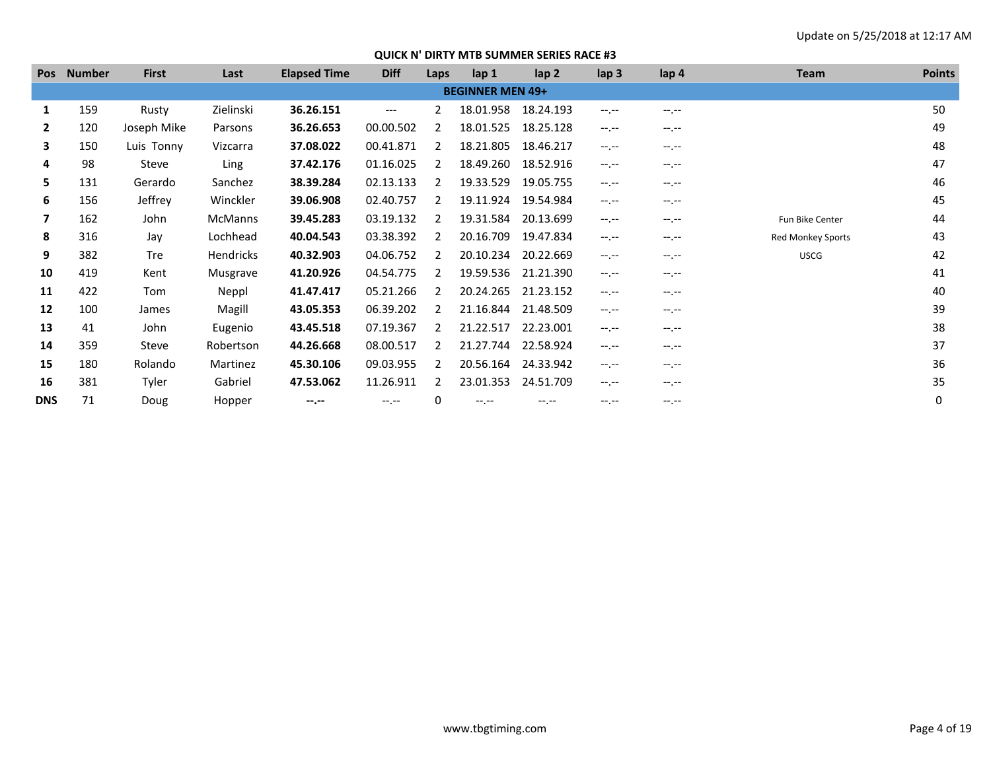| <b>Pos</b>   | <b>Number</b> | <b>First</b> | Last           | <b>Elapsed Time</b> | <b>Diff</b> | Laps          | lap <sub>1</sub>        | lap <sub>2</sub> | lap <sub>3</sub> | lap 4            | <b>Team</b>              | <b>Points</b> |
|--------------|---------------|--------------|----------------|---------------------|-------------|---------------|-------------------------|------------------|------------------|------------------|--------------------------|---------------|
|              |               |              |                |                     |             |               | <b>BEGINNER MEN 49+</b> |                  |                  |                  |                          |               |
| 1            | 159           | Rusty        | Zielinski      | 36.26.151           | ---         | $\mathbf{2}$  | 18.01.958               | 18.24.193        | $-1.1$           | $-1 - 1 - 1 = 0$ |                          | 50            |
| $\mathbf{2}$ | 120           | Joseph Mike  | Parsons        | 36.26.653           | 00.00.502   | 2             | 18.01.525               | 18.25.128        | $-1.1 -$         | $-1.1 -$         |                          | 49            |
| 3            | 150           | Luis Tonny   | Vizcarra       | 37.08.022           | 00.41.871   | 2             | 18.21.805               | 18.46.217        | $-1$ , $-1$      | $-1$ , $-1$      |                          | 48            |
| 4            | 98            | Steve        | Ling           | 37.42.176           | 01.16.025   | 2             | 18.49.260               | 18.52.916        | $-1.1 -$         | $-1.1 -$         |                          | 47            |
| 5.           | 131           | Gerardo      | Sanchez        | 38.39.284           | 02.13.133   | 2             | 19.33.529               | 19.05.755        | $-1 - 1 - 1 = 0$ | $-1$ , $-1$      |                          | 46            |
| 6            | 156           | Jeffrey      | Winckler       | 39.06.908           | 02.40.757   | $\mathcal{L}$ | 19.11.924               | 19.54.984        | $-1 - 1 - 1 = 0$ | $-1$ , $-1$      |                          | 45            |
| 7            | 162           | John         | <b>McManns</b> | 39.45.283           | 03.19.132   | $\mathcal{L}$ | 19.31.584               | 20.13.699        | $-1$ , $-1$      | $-1$ , $-1$      | Fun Bike Center          | 44            |
| 8            | 316           | Jay          | Lochhead       | 40.04.543           | 03.38.392   | 2             | 20.16.709               | 19.47.834        | $-1$ , $-1$      | $-1 - 1 - 1 = 0$ | <b>Red Monkey Sports</b> | 43            |
| 9            | 382           | <b>Tre</b>   | Hendricks      | 40.32.903           | 04.06.752   | 2             | 20.10.234               | 20.22.669        | $-1$ , $-1$      | $-1 - 1 - 1 = 0$ | <b>USCG</b>              | 42            |
| 10           | 419           | Kent         | Musgrave       | 41.20.926           | 04.54.775   | $\mathcal{L}$ | 19.59.536               | 21.21.390        | $-1$ , $-1$      | $-1.1 -$         |                          | 41            |
| 11           | 422           | Tom          | Neppl          | 41.47.417           | 05.21.266   | 2             | 20.24.265               | 21.23.152        | $-1$ , $-1$      | $-1$ , $-1$      |                          | 40            |
| 12           | 100           | James        | Magill         | 43.05.353           | 06.39.202   | $\mathcal{P}$ | 21.16.844               | 21.48.509        | $-1 - 1 - 1 = 0$ | $-1 - 1 - 1 = 0$ |                          | 39            |
| 13           | 41            | John         | Eugenio        | 43.45.518           | 07.19.367   | 2             | 21.22.517               | 22.23.001        | $-1$ , $-1$      | $-1 - 1 - 1 = 0$ |                          | 38            |
| 14           | 359           | Steve        | Robertson      | 44.26.668           | 08.00.517   | 2             | 21.27.744               | 22.58.924        | $-1$ , $-1$      | $-1.1 -$         |                          | 37            |
| 15           | 180           | Rolando      | Martinez       | 45.30.106           | 09.03.955   | 2             | 20.56.164               | 24.33.942        | $-1$ , $-1$      | $-1.1 -$         |                          | 36            |
| 16           | 381           | Tyler        | Gabriel        | 47.53.062           | 11.26.911   | 2             | 23.01.353               | 24.51.709        | $-1$ , $-1$      | $-1$ , $-1$      |                          | 35            |
| <b>DNS</b>   | 71            | Doug         | Hopper         | $-1 - 1 - 1 = 0$    | $-1$ , $-1$ | 0             | $-1$ , $-1$             | $-1 - 1 - 1 = 0$ | $-1 - 1 - 1 = 0$ | $-1 - 1 - 1 = 0$ |                          | 0             |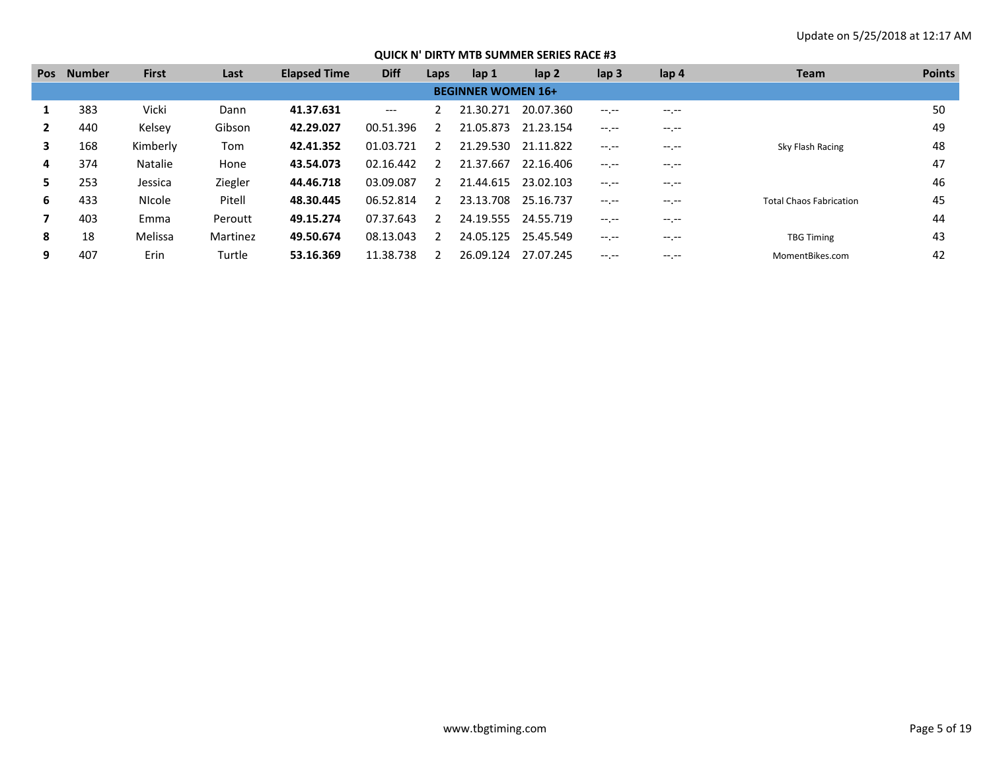| <b>Pos</b> | <b>Number</b> | <b>First</b>   | Last     | <b>Elapsed Time</b> | <b>Diff</b> | Laps          | lap 1                     | lap <sub>2</sub> | lap <sub>3</sub> | lap <sub>4</sub> | <b>Team</b>                    | <b>Points</b> |
|------------|---------------|----------------|----------|---------------------|-------------|---------------|---------------------------|------------------|------------------|------------------|--------------------------------|---------------|
|            |               |                |          |                     |             |               | <b>BEGINNER WOMEN 16+</b> |                  |                  |                  |                                |               |
|            | 383           | Vicki          | Dann     | 41.37.631           | $---$       |               | 21.30.271                 | 20.07.360        | $-1 - 1 - 1 = 0$ | $-1.1 -$         |                                | 50            |
|            | 440           | Kelsey         | Gibson   | 42.29.027           | 00.51.396   |               | 21.05.873                 | 21.23.154        | $-1 - 1 - 1 = 0$ | $-1.1 -$         |                                | 49            |
| 3          | 168           | Kimberly       | Tom      | 42.41.352           | 01.03.721   |               | 21.29.530                 | 21.11.822        | $--- - - -$      | $- - - - -$      | Sky Flash Racing               | 48            |
| 4          | 374           | <b>Natalie</b> | Hone     | 43.54.073           | 02.16.442   | $\mathcal{L}$ | 21.37.667                 | 22.16.406        | $-1 - 1 - 1 = 0$ | $--, --$         |                                | 47            |
| 5.         | 253           | Jessica        | Ziegler  | 44.46.718           | 03.09.087   |               | 21.44.615                 | 23.02.103        | $-1 - 1 - 1 = 0$ | $-1.1 -$         |                                | 46            |
| 6.         | 433           | <b>Nicole</b>  | Pitell   | 48.30.445           | 06.52.814   |               | 23.13.708                 | 25.16.737        | $-1 - 1 - 1 = 0$ | $- - - - -$      | <b>Total Chaos Fabrication</b> | 45            |
|            | 403           | Emma           | Peroutt  | 49.15.274           | 07.37.643   |               | 24.19.555                 | 24.55.719        | $-1 - 1 - 1 = 0$ | $-1.1 -$         |                                | 44            |
| 8          | 18            | Melissa        | Martinez | 49.50.674           | 08.13.043   |               | 24.05.125                 | 25.45.549        | $-1 - 1 - 1 = 0$ | $-1.1 -$         | <b>TBG Timing</b>              | 43            |
| 9          | 407           | Erin           | Turtle   | 53.16.369           | 11.38.738   |               | 26.09.124                 | 27.07.245        | $-1. - -$        | -- --            | MomentBikes.com                | 42            |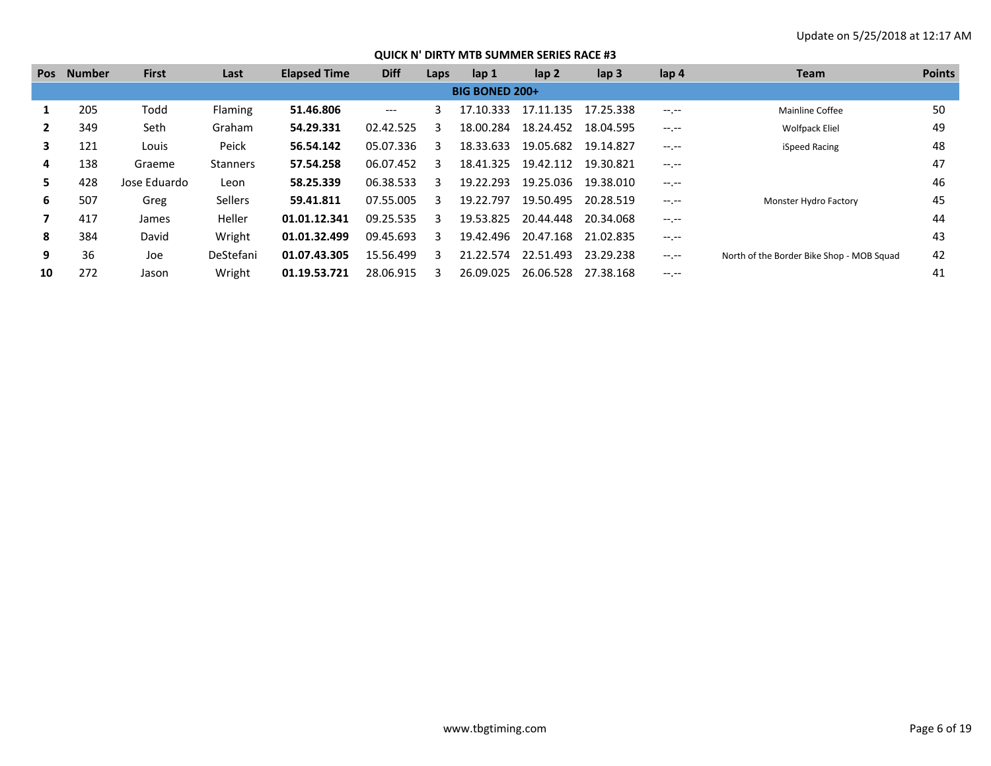| <b>Pos</b> | <b>Number</b> | <b>First</b> | Last            | <b>Elapsed Time</b> | <b>Diff</b> | Laps | lap 1                 | $\mathsf{lap} 2$ | lap <sub>3</sub> | lap <sub>4</sub> | Team                                      | <b>Points</b> |
|------------|---------------|--------------|-----------------|---------------------|-------------|------|-----------------------|------------------|------------------|------------------|-------------------------------------------|---------------|
|            |               |              |                 |                     |             |      | <b>BIG BONED 200+</b> |                  |                  |                  |                                           |               |
|            | 205           | Todd         | Flaming         | 51.46.806           | ---         | 3    | 17.10.333             | 17.11.135        | 17.25.338        | $-1.1$           | Mainline Coffee                           | 50            |
|            | 349           | Seth         | Graham          | 54.29.331           | 02.42.525   | 3    | 18.00.284             | 18.24.452        | 18.04.595        | $-1.1 -$         | <b>Wolfpack Eliel</b>                     | 49            |
| 3.         | 121           | Louis        | Peick           | 56.54.142           | 05.07.336   | 3    | 18.33.633             | 19.05.682        | 19.14.827        | $-1$ , $-1$      | iSpeed Racing                             | 48            |
| 4          | 138           | Graeme       | <b>Stanners</b> | 57.54.258           | 06.07.452   | २    | 18.41.325             | 19.42.112        | 19.30.821        | $-1$ , $-1$      |                                           | 47            |
| 5.         | 428           | Jose Eduardo | Leon            | 58.25.339           | 06.38.533   | 3    | 19.22.293             | 19.25.036        | 19.38.010        | $-1.1 -$         |                                           | 46            |
| 6          | 507           | Greg         | <b>Sellers</b>  | 59.41.811           | 07.55.005   | २    | 19.22.797             | 19.50.495        | 20.28.519        | $-1$ , $-1$      | Monster Hydro Factory                     | 45            |
|            | 417           | James        | Heller          | 01.01.12.341        | 09.25.535   | 3    | 19.53.825             | 20.44.448        | 20.34.068        | $-1$ , $-1$      |                                           | 44            |
| 8          | 384           | David        | Wright          | 01.01.32.499        | 09.45.693   | २    | 19.42.496             | 20.47.168        | 21.02.835        |                  |                                           | 43            |
| 9          | 36            | Joe          | DeStefani       | 01.07.43.305        | 15.56.499   | २    | 21.22.574             | 22.51.493        | 23.29.238        | $-1.1 - 1.0$     | North of the Border Bike Shop - MOB Squad | 42            |
| 10         | 272           | Jason        | Wright          | 01.19.53.721        | 28.06.915   |      | 26.09.025             | 26.06.528        | 27.38.168        | $-1.1$           |                                           | 41            |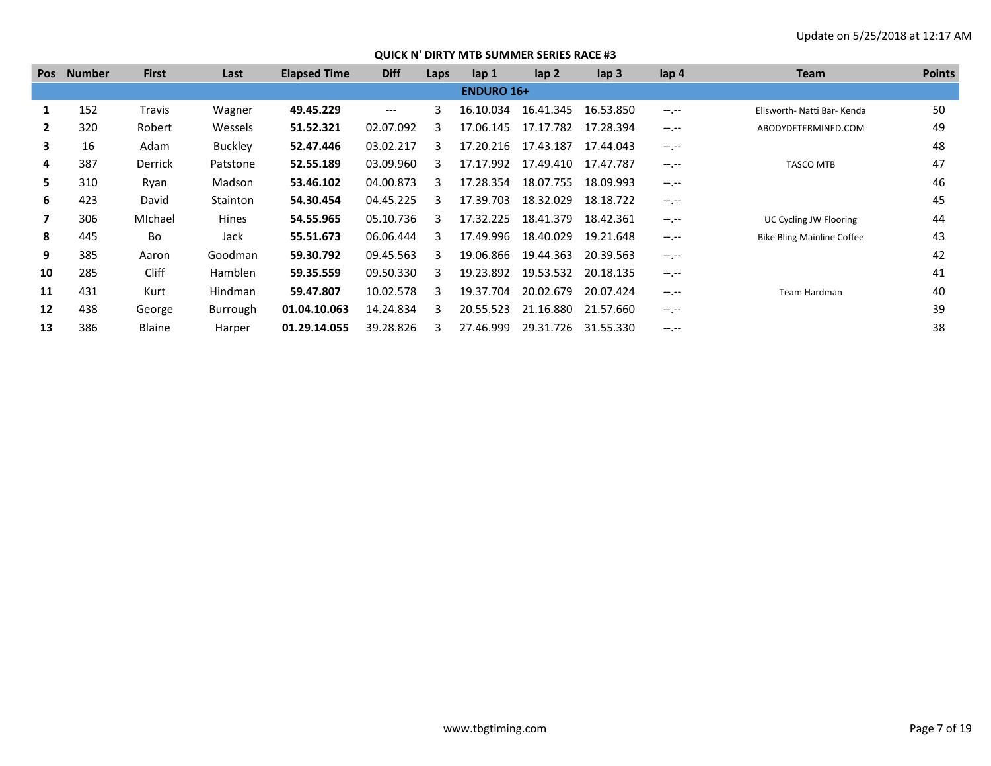| <b>Pos</b> | <b>Number</b> | <b>First</b>   | Last           | <b>Elapsed Time</b> | <b>Diff</b> | Laps | lap <sub>1</sub>  | $\mathsf{lap} 2$ | $\mathsf{lap} 3$ | lap 4            | <b>Team</b>                       | <b>Points</b> |
|------------|---------------|----------------|----------------|---------------------|-------------|------|-------------------|------------------|------------------|------------------|-----------------------------------|---------------|
|            |               |                |                |                     |             |      | <b>ENDURO 16+</b> |                  |                  |                  |                                   |               |
|            | 152           | Travis         | Wagner         | 49.45.229           | $---$       | 3    | 16.10.034         | 16.41.345        | 16.53.850        | $-1 - 1 - 1 = 0$ | Ellsworth- Natti Bar- Kenda       | 50            |
| 2          | 320           | Robert         | Wessels        | 51.52.321           | 02.07.092   | २    | 17.06.145         | 17.17.782        | 17.28.394        | $-1 - 1 - 1 = 0$ | ABODYDETERMINED.COM               | 49            |
| 3          | 16            | Adam           | <b>Buckley</b> | 52.47.446           | 03.02.217   | ર    | 17.20.216         | 17.43.187        | 17.44.043        | $-1 - 1 - 1 = 0$ |                                   | 48            |
| 4          | 387           | <b>Derrick</b> | Patstone       | 52.55.189           | 03.09.960   | 3    | 17.17.992         | 17.49.410        | 17.47.787        | $-1$ , $-1$      | <b>TASCO MTB</b>                  | 47            |
| 5.         | 310           | Ryan           | Madson         | 53.46.102           | 04.00.873   | з    | 17.28.354         | 18.07.755        | 18.09.993        | $-1 - 1 - 1 = 0$ |                                   | 46            |
| 6          | 423           | David          | Stainton       | 54.30.454           | 04.45.225   | 3    | 17.39.703         | 18.32.029        | 18.18.722        | $-1$ , $-1$      |                                   | 45            |
|            | 306           | Michael        | Hines          | 54.55.965           | 05.10.736   | 3    | 17.32.225         | 18.41.379        | 18.42.361        | $-1 - 1 - 1 = 0$ | UC Cycling JW Flooring            | 44            |
| 8          | 445           | Bo             | Jack           | 55.51.673           | 06.06.444   | 3    | 17.49.996         | 18.40.029        | 19.21.648        | $-1$ , $-1$      | <b>Bike Bling Mainline Coffee</b> | 43            |
| 9          | 385           | Aaron          | Goodman        | 59.30.792           | 09.45.563   | 3    | 19.06.866         | 19.44.363        | 20.39.563        | $-1 - 1 - 1 = 0$ |                                   | 42            |
| 10         | 285           | Cliff          | <b>Hamblen</b> | 59.35.559           | 09.50.330   | 3    | 19.23.892         | 19.53.532        | 20.18.135        | $-1$ , $-1$      |                                   | 41            |
| 11         | 431           | Kurt           | <b>Hindman</b> | 59.47.807           | 10.02.578   | 3    | 19.37.704         | 20.02.679        | 20.07.424        | $-1$ , $-1$      | Team Hardman                      | 40            |
| 12         | 438           | George         | Burrough       | 01.04.10.063        | 14.24.834   | 3    | 20.55.523         | 21.16.880        | 21.57.660        | $-1 - 1 - 1 = 0$ |                                   | 39            |
| 13         | 386           | Blaine         | Harper         | 01.29.14.055        | 39.28.826   | ₹    | 27.46.999         | 29.31.726        | 31.55.330        | $-1 - 1 - 1 = 0$ |                                   | 38            |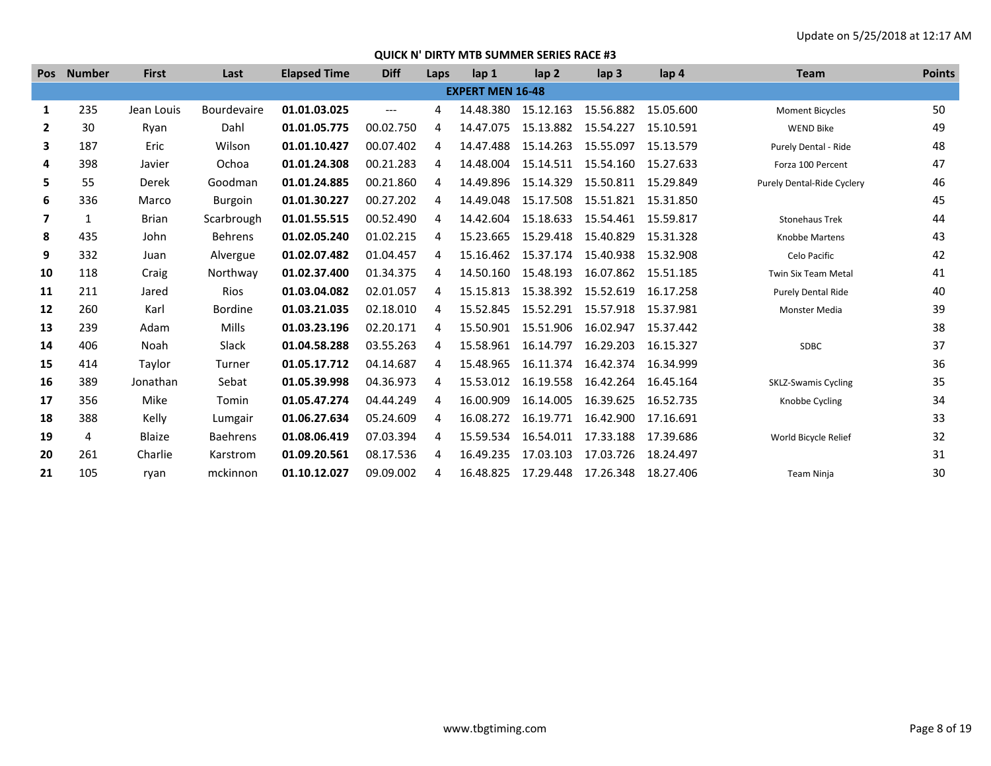| <b>Pos</b>               | <b>Number</b> | <b>First</b>  | Last               | <b>Elapsed Time</b> | <b>Diff</b>          | Laps | lap 1                   | lap <sub>2</sub> | lap <sub>3</sub> | lap 4     | <b>Team</b>                | <b>Points</b> |
|--------------------------|---------------|---------------|--------------------|---------------------|----------------------|------|-------------------------|------------------|------------------|-----------|----------------------------|---------------|
|                          |               |               |                    |                     |                      |      | <b>EXPERT MEN 16-48</b> |                  |                  |           |                            |               |
| 1                        | 235           | Jean Louis    | <b>Bourdevaire</b> | 01.01.03.025        | $\hspace{0.05cm}---$ | 4    | 14.48.380               | 15.12.163        | 15.56.882        | 15.05.600 | <b>Moment Bicycles</b>     | 50            |
| $\mathbf{2}$             | 30            | Ryan          | Dahl               | 01.01.05.775        | 00.02.750            | 4    | 14.47.075               | 15.13.882        | 15.54.227        | 15.10.591 | <b>WEND Bike</b>           | 49            |
| 3                        | 187           | Eric          | Wilson             | 01.01.10.427        | 00.07.402            | 4    | 14.47.488               | 15.14.263        | 15.55.097        | 15.13.579 | Purely Dental - Ride       | 48            |
| 4                        | 398           | Javier        | Ochoa              | 01.01.24.308        | 00.21.283            | 4    | 14.48.004               | 15.14.511        | 15.54.160        | 15.27.633 | Forza 100 Percent          | 47            |
| 5                        | 55            | Derek         | Goodman            | 01.01.24.885        | 00.21.860            | 4    | 14.49.896               | 15.14.329        | 15.50.811        | 15.29.849 | Purely Dental-Ride Cyclery | 46            |
| 6                        | 336           | Marco         | <b>Burgoin</b>     | 01.01.30.227        | 00.27.202            | 4    | 14.49.048               | 15.17.508        | 15.51.821        | 15.31.850 |                            | 45            |
| $\overline{\phantom{a}}$ | $\mathbf{1}$  | <b>Brian</b>  | Scarbrough         | 01.01.55.515        | 00.52.490            | 4    | 14.42.604               | 15.18.633        | 15.54.461        | 15.59.817 | <b>Stonehaus Trek</b>      | 44            |
| 8                        | 435           | John          | <b>Behrens</b>     | 01.02.05.240        | 01.02.215            | 4    | 15.23.665               | 15.29.418        | 15.40.829        | 15.31.328 | <b>Knobbe Martens</b>      | 43            |
| 9                        | 332           | Juan          | Alvergue           | 01.02.07.482        | 01.04.457            | 4    | 15.16.462               | 15.37.174        | 15.40.938        | 15.32.908 | Celo Pacific               | 42            |
| 10                       | 118           | Craig         | Northway           | 01.02.37.400        | 01.34.375            | 4    | 14.50.160               | 15.48.193        | 16.07.862        | 15.51.185 | <b>Twin Six Team Metal</b> | 41            |
| 11                       | 211           | Jared         | <b>Rios</b>        | 01.03.04.082        | 02.01.057            | 4    | 15.15.813               | 15.38.392        | 15.52.619        | 16.17.258 | Purely Dental Ride         | 40            |
| 12                       | 260           | Karl          | <b>Bordine</b>     | 01.03.21.035        | 02.18.010            | 4    | 15.52.845               | 15.52.291        | 15.57.918        | 15.37.981 | Monster Media              | 39            |
| 13                       | 239           | Adam          | Mills              | 01.03.23.196        | 02.20.171            | 4    | 15.50.901               | 15.51.906        | 16.02.947        | 15.37.442 |                            | 38            |
| 14                       | 406           | Noah          | Slack              | 01.04.58.288        | 03.55.263            | 4    | 15.58.961               | 16.14.797        | 16.29.203        | 16.15.327 | <b>SDBC</b>                | 37            |
| 15                       | 414           | Taylor        | Turner             | 01.05.17.712        | 04.14.687            | 4    | 15.48.965               | 16.11.374        | 16.42.374        | 16.34.999 |                            | 36            |
| 16                       | 389           | Jonathan      | Sebat              | 01.05.39.998        | 04.36.973            | 4    | 15.53.012               | 16.19.558        | 16.42.264        | 16.45.164 | <b>SKLZ-Swamis Cycling</b> | 35            |
| 17                       | 356           | Mike          | Tomin              | 01.05.47.274        | 04.44.249            | 4    | 16.00.909               | 16.14.005        | 16.39.625        | 16.52.735 | Knobbe Cycling             | 34            |
| 18                       | 388           | Kelly         | Lumgair            | 01.06.27.634        | 05.24.609            | 4    | 16.08.272               | 16.19.771        | 16.42.900        | 17.16.691 |                            | 33            |
| 19                       | 4             | <b>Blaize</b> | <b>Baehrens</b>    | 01.08.06.419        | 07.03.394            | 4    | 15.59.534               | 16.54.011        | 17.33.188        | 17.39.686 | World Bicycle Relief       | 32            |
| 20                       | 261           | Charlie       | Karstrom           | 01.09.20.561        | 08.17.536            | 4    | 16.49.235               | 17.03.103        | 17.03.726        | 18.24.497 |                            | 31            |
| 21                       | 105           | ryan          | mckinnon           | 01.10.12.027        | 09.09.002            | 4    | 16.48.825               | 17.29.448        | 17.26.348        | 18.27.406 | Team Ninja                 | 30            |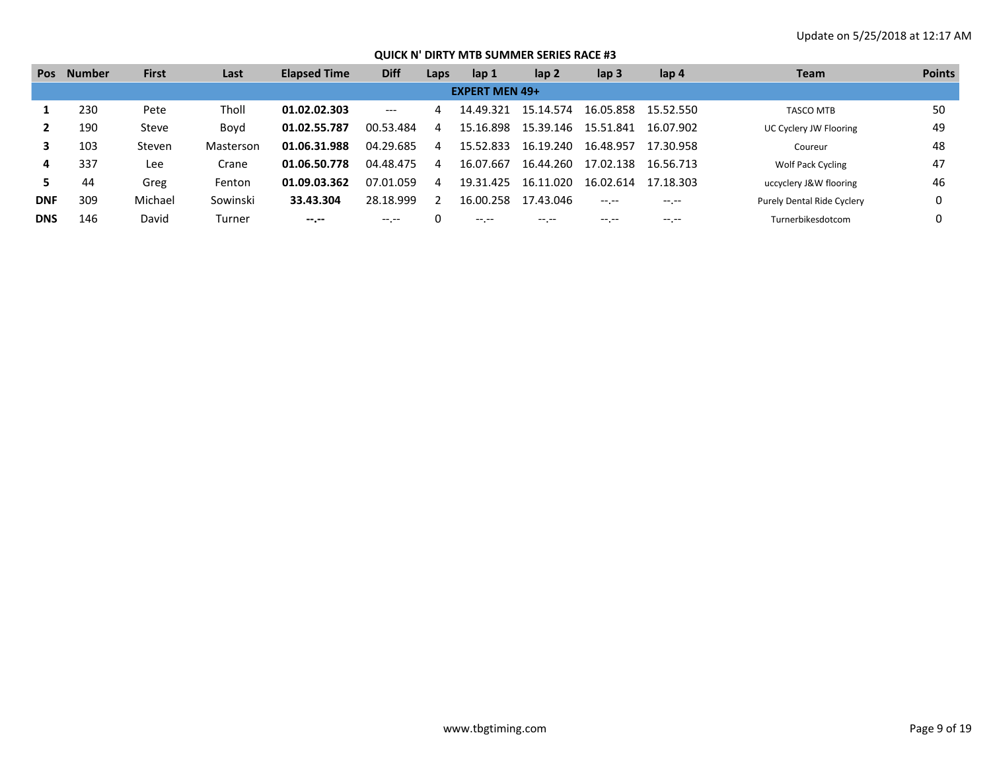| <b>Pos</b> | Number | <b>First</b> | Last      | <b>Elapsed Time</b> | <b>Diff</b> | Laps | lap 1                 | lap 2     | lap <sub>3</sub> | lap 4     | Team                       | <b>Points</b> |
|------------|--------|--------------|-----------|---------------------|-------------|------|-----------------------|-----------|------------------|-----------|----------------------------|---------------|
|            |        |              |           |                     |             |      | <b>EXPERT MEN 49+</b> |           |                  |           |                            |               |
|            | 230    | Pete         | Tholl     | 01.02.02.303        | $---$       | 4    | 14.49.321             | 15.14.574 | 16.05.858        | 15.52.550 | <b>TASCO MTB</b>           | 50            |
|            | 190    | Steve        | Bovd      | 01.02.55.787        | 00.53.484   | 4    | 15.16.898             | 15.39.146 | 15.51.841        | 16.07.902 | UC Cyclery JW Flooring     | 49            |
|            | 103    | Steven       | Masterson | 01.06.31.988        | 04.29.685   | 4    | 15.52.833             | 16.19.240 | 16.48.957        | 17.30.958 | Coureur                    | 48            |
| 4          | 337    | Lee          | Crane     | 01.06.50.778        | 04.48.475   | 4    | 16.07.667             | 16.44.260 | 17.02.138        | 16.56.713 | <b>Wolf Pack Cycling</b>   | 47            |
|            | 44     | Greg         | Fenton    | 01.09.03.362        | 07.01.059   | 4    | 19.31.425             | 16.11.020 | 16.02.614        | 17 18 303 | uccyclery J&W flooring     | 46            |
| <b>DNF</b> | 309    | Michael      | Sowinski  | 33.43.304           | 28.18.999   |      | 16.00.258             | 17.43.046 | $-1.1$           |           | Purely Dental Ride Cyclery |               |
| <b>DNS</b> | 146    | David        | Turner    | --.--               | $---$       |      |                       | $---$     | $---$            | -- --     | Turnerbikesdotcom          |               |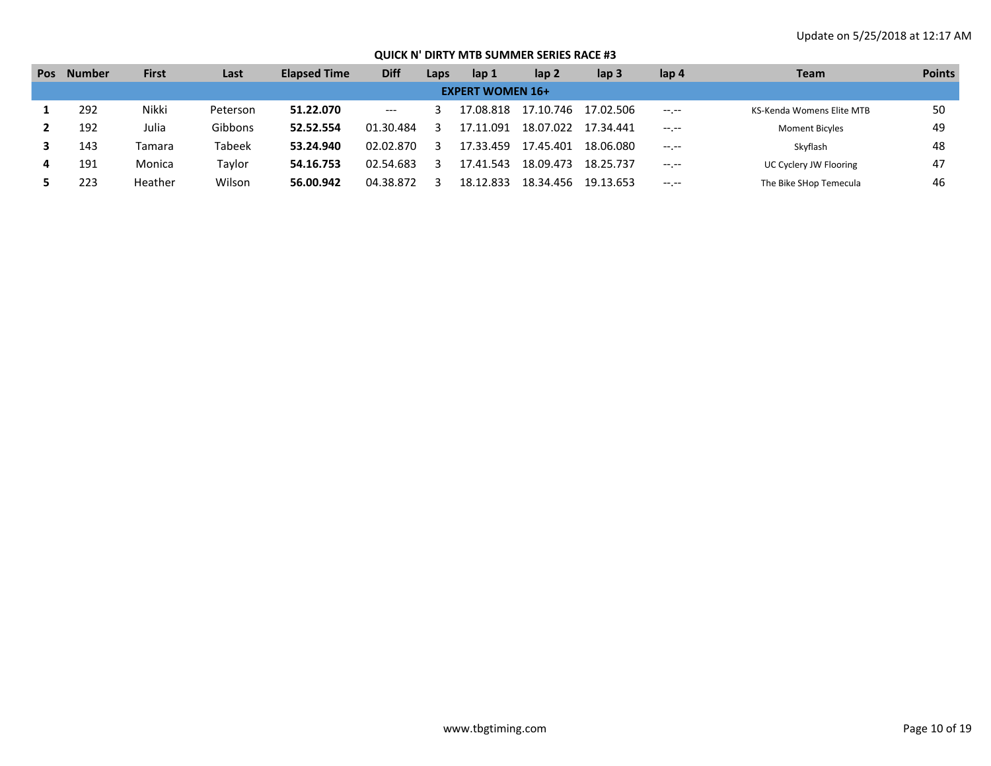| <b>Pos</b> | <b>Number</b> | <b>First</b> | Last          | <b>Elapsed Time</b> | <b>Diff</b> | Laps | lap 1                   | lap 2     | lap <sub>3</sub> | lap 4            | Team                      | <b>Points</b> |
|------------|---------------|--------------|---------------|---------------------|-------------|------|-------------------------|-----------|------------------|------------------|---------------------------|---------------|
|            |               |              |               |                     |             |      | <b>EXPERT WOMEN 16+</b> |           |                  |                  |                           |               |
|            | 292           | Nikki        | Peterson      | 51.22.070           | $---$       |      | 17.08.818               | 17.10.746 | 17.02.506        |                  | KS-Kenda Womens Elite MTB | 50            |
|            | 192           | Julia        | Gibbons       | 52.52.554           | 01.30.484   |      | .091<br>17.11           | 18.07.022 | 17.34.441        | $-1 - 1 - 1 = 0$ | <b>Moment Bicyles</b>     | 49            |
|            | 143           | Tamara       | <b>Tabeek</b> | 53.24.940           | 02.02.870   |      | 17.33.459               | 17.45.401 | 18.06.080        | $--, --$         | Skyflash                  | 48            |
|            | 191           | Monica       | Taylor        | 54.16.753           | 02.54.683   |      | .543<br>17.41           | 18.09.473 | 18.25.737        | $- - - - -$      | UC Cyclery JW Flooring    | 47            |
|            | 223           | Heather      | Wilson        | 56.00.942           | 04.38.872   |      | 18.12.833               | 18.34.456 | 19.13.653        | $-1 - 1 - 1 = 0$ | The Bike SHop Temecula    | 46            |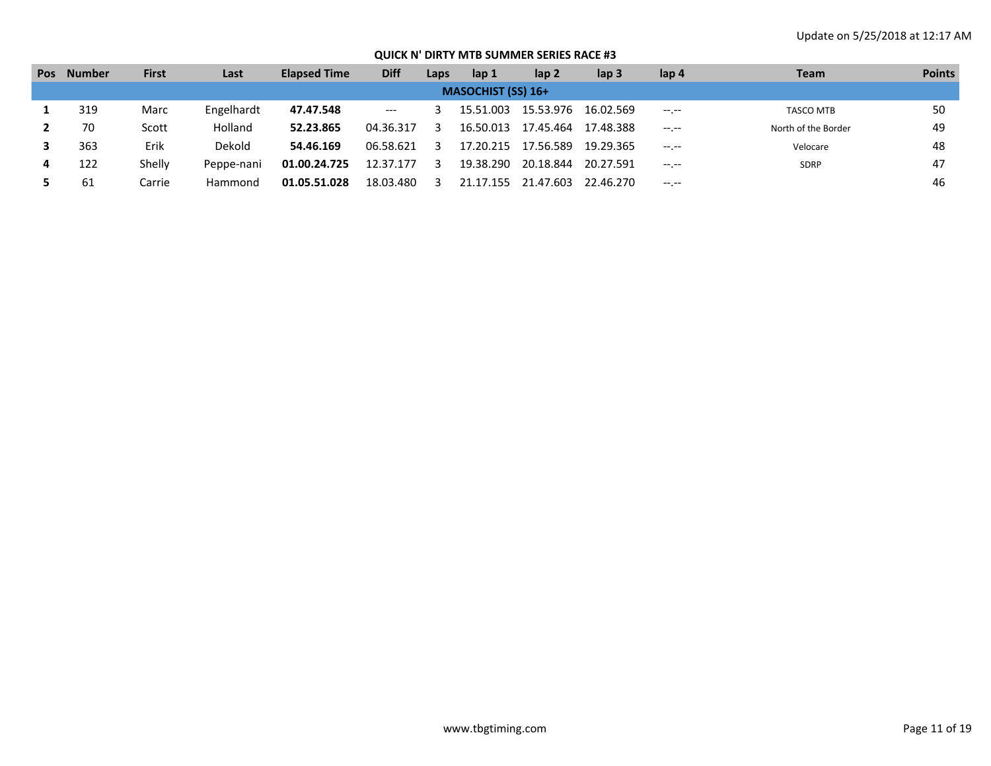| <b>Pos</b> | <b>Number</b> | First  | Last       | <b>Elapsed Time</b> | <b>Diff</b>                              | Laps | lap 1                     | lap 2     | lap <sub>3</sub> | lap 4            | <b>Team</b>         | <b>Points</b> |
|------------|---------------|--------|------------|---------------------|------------------------------------------|------|---------------------------|-----------|------------------|------------------|---------------------|---------------|
|            |               |        |            |                     |                                          |      | <b>MASOCHIST (SS) 16+</b> |           |                  |                  |                     |               |
|            | 319           | Marc   | Engelhardt | 47.47.548           | $\hspace{0.05cm} \ldots \hspace{0.05cm}$ |      | 15.51.003                 | 15.53.976 | 16.02.569        | $-1 - 1 - 1 = 0$ | <b>TASCO MTB</b>    | 50            |
|            | 70            | Scott  | Holland    | 52.23.865           | 04.36.317                                |      | 16.50.013                 | 17.45.464 | 17.48.388        | $- - - - -$      | North of the Border | 49            |
|            | 363           | Erik   | Dekold     | 54.46.169           | 06.58.621                                |      | 17.20.215                 | 17.56.589 | 19.29.365        | $-1$ , $-1$      | Velocare            | 48            |
|            | 122           | Shelly | Peppe-nani | 01.00.24.725        | 12.37.177                                |      | 19.38.290                 | 20.18.844 | 20.27.591        | $-1$ , $-1$      | SDRP                | 47            |
|            | 61            | Carrie | Hammond    | 01.05.51.028        | 18.03.480                                |      | 21.17.155                 | 21.47.603 | 22.46.270        | $- - - - -$      |                     | 46            |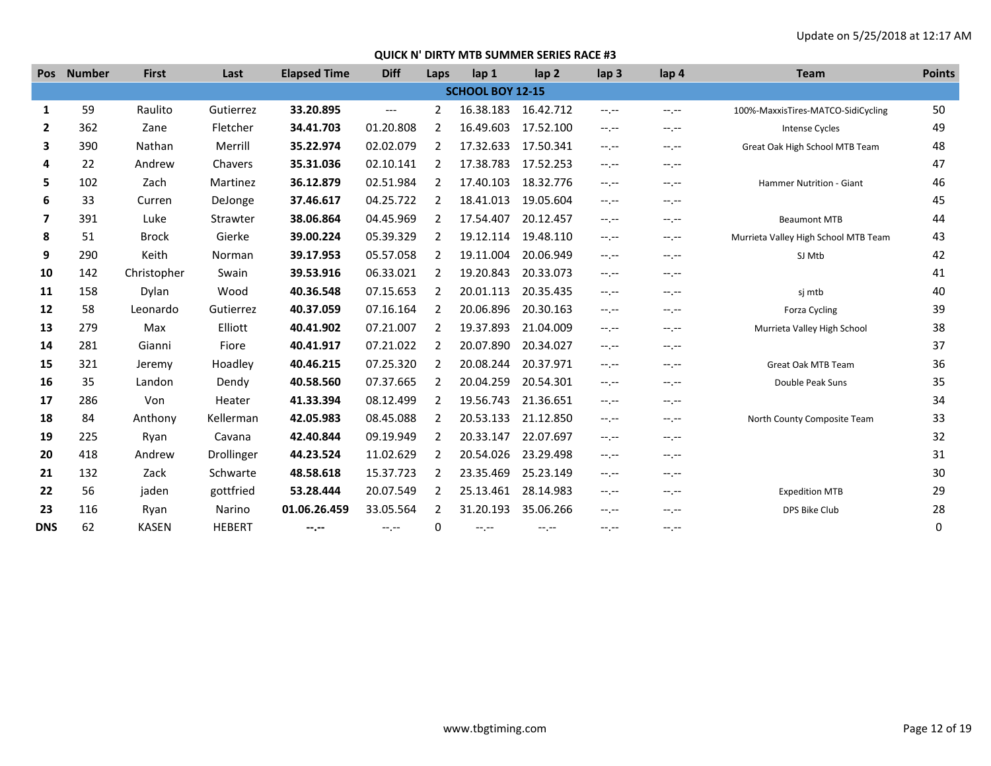| <b>Pos</b>   | <b>Number</b> | <b>First</b> | Last          | <b>Elapsed Time</b> | <b>Diff</b>              | Laps           | lap <sub>1</sub>        | lap <sub>2</sub> | lap <sub>3</sub> | lap 4            | <b>Team</b>                          | <b>Points</b> |
|--------------|---------------|--------------|---------------|---------------------|--------------------------|----------------|-------------------------|------------------|------------------|------------------|--------------------------------------|---------------|
|              |               |              |               |                     |                          |                | <b>SCHOOL BOY 12-15</b> |                  |                  |                  |                                      |               |
| 1            | 59            | Raulito      | Gutierrez     | 33.20.895           | $\hspace{0.05cm} \ldots$ | 2              | 16.38.183               | 16.42.712        | $-1, -1$         | $-1$ , $-1$      | 100%-MaxxisTires-MATCO-SidiCycling   | 50            |
| $\mathbf{2}$ | 362           | Zane         | Fletcher      | 34.41.703           | 01.20.808                | $\overline{2}$ | 16.49.603               | 17.52.100        | $-1$ , $-1$      | $-1 - 1 - 1 = 0$ | Intense Cycles                       | 49            |
| 3            | 390           | Nathan       | Merrill       | 35.22.974           | 02.02.079                | 2              | 17.32.633               | 17.50.341        | $-1, -1$         | --.--            | Great Oak High School MTB Team       | 48            |
| 4            | 22            | Andrew       | Chavers       | 35.31.036           | 02.10.141                | 2              | 17.38.783               | 17.52.253        | $-1. - -$        | $-1 - 1 - 1 = 0$ |                                      | 47            |
| 5            | 102           | Zach         | Martinez      | 36.12.879           | 02.51.984                | 2              | 17.40.103               | 18.32.776        | $-1$ , $-1$      | $-1$ , $-1$      | Hammer Nutrition - Giant             | 46            |
| 6            | 33            | Curren       | DeJonge       | 37.46.617           | 04.25.722                | 2              | 18.41.013               | 19.05.604        | $-1. - -$        | $-1. - -$        |                                      | 45            |
| 7            | 391           | Luke         | Strawter      | 38.06.864           | 04.45.969                | 2              | 17.54.407               | 20.12.457        | $-1, -1$         | $-1$ , $-1$      | <b>Beaumont MTB</b>                  | 44            |
| 8            | 51            | <b>Brock</b> | Gierke        | 39.00.224           | 05.39.329                | 2              | 19.12.114               | 19.48.110        | $-1, -1$         | $-1. - -$        | Murrieta Valley High School MTB Team | 43            |
| 9            | 290           | Keith        | Norman        | 39.17.953           | 05.57.058                | 2              | 19.11.004               | 20.06.949        | $-1, -1$         | $-1. - -$        | SJ Mtb                               | 42            |
| 10           | 142           | Christopher  | Swain         | 39.53.916           | 06.33.021                | $\overline{2}$ | 19.20.843               | 20.33.073        | $-1.1 -$         | --.--            |                                      | 41            |
| 11           | 158           | Dylan        | Wood          | 40.36.548           | 07.15.653                | 2              | 20.01.113               | 20.35.435        | $-1. - -$        | $-1 - 1 - 1 = 0$ | sj mtb                               | 40            |
| 12           | 58            | Leonardo     | Gutierrez     | 40.37.059           | 07.16.164                | 2              | 20.06.896               | 20.30.163        | $-1. - -$        | --.--            | <b>Forza Cycling</b>                 | 39            |
| 13           | 279           | Max          | Elliott       | 40.41.902           | 07.21.007                | 2              | 19.37.893               | 21.04.009        | $-1. - -$        | --.--            | Murrieta Valley High School          | 38            |
| 14           | 281           | Gianni       | Fiore         | 40.41.917           | 07.21.022                | 2              | 20.07.890               | 20.34.027        | $-1. - -$        | $-1 - 1 - 1 = 0$ |                                      | 37            |
| 15           | 321           | Jeremy       | Hoadley       | 40.46.215           | 07.25.320                | 2              | 20.08.244               | 20.37.971        | $-1. - -$        | --.--            | Great Oak MTB Team                   | 36            |
| 16           | 35            | Landon       | Dendy         | 40.58.560           | 07.37.665                | 2              | 20.04.259               | 20.54.301        | $-1. - -$        | $-1. - -$        | Double Peak Suns                     | 35            |
| 17           | 286           | Von          | Heater        | 41.33.394           | 08.12.499                | 2              | 19.56.743               | 21.36.651        | $-1, -1$         | $-1 - 1 - 1 = 0$ |                                      | 34            |
| 18           | 84            | Anthony      | Kellerman     | 42.05.983           | 08.45.088                | 2              | 20.53.133               | 21.12.850        | $-1.1 -$         | $-1. - -$        | North County Composite Team          | 33            |
| 19           | 225           | Ryan         | Cavana        | 42.40.844           | 09.19.949                | 2              | 20.33.147               | 22.07.697        | $-1, -1$         | $-1 - 1 - 1 = 0$ |                                      | 32            |
| 20           | 418           | Andrew       | Drollinger    | 44.23.524           | 11.02.629                | $\overline{2}$ | 20.54.026               | 23.29.498        | $-1. - -$        | $-1. - -$        |                                      | 31            |
| 21           | 132           | Zack         | Schwarte      | 48.58.618           | 15.37.723                | 2              | 23.35.469               | 25.23.149        | $-1, -1$         | $-1 - 1 - 1 = 0$ |                                      | 30            |
| 22           | 56            | jaden        | gottfried     | 53.28.444           | 20.07.549                | 2              | 25.13.461               | 28.14.983        | $-1. - -$        | --.--            | <b>Expedition MTB</b>                | 29            |
| 23           | 116           | Ryan         | Narino        | 01.06.26.459        | 33.05.564                | 2              | 31.20.193               | 35.06.266        | $-1, -1$         | --.--            | DPS Bike Club                        | 28            |
| <b>DNS</b>   | 62            | <b>KASEN</b> | <b>HEBERT</b> | --.--               | $-1, -1$                 | 0              | $-1. - -$               | $-1, -1$         | $-1, -1$         | $-1$ , $-1$      |                                      | 0             |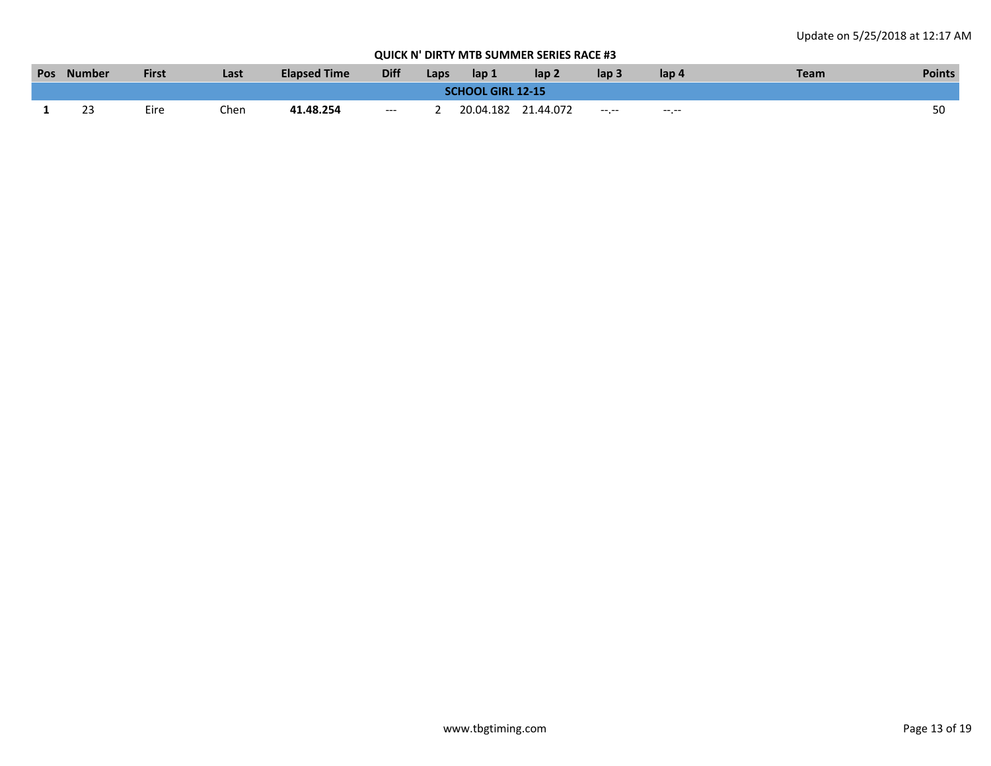|                          | Pos Number | <b>First</b> | Last | <b>Elapsed Time</b> | <b>Diff</b> | Laps | lap 1 | lap <sub>2</sub>    | lap <sub>3</sub> | lap 4            | Team | <b>Points</b> |
|--------------------------|------------|--------------|------|---------------------|-------------|------|-------|---------------------|------------------|------------------|------|---------------|
| <b>SCHOOL GIRL 12-15</b> |            |              |      |                     |             |      |       |                     |                  |                  |      |               |
|                          | 50         | Eire         | Chen | 41.48.254           | $---$       |      |       | 20.04.182 21.44.072 | $-1 - 1 - 1$     | $-1 - 1 - 1 = 0$ |      |               |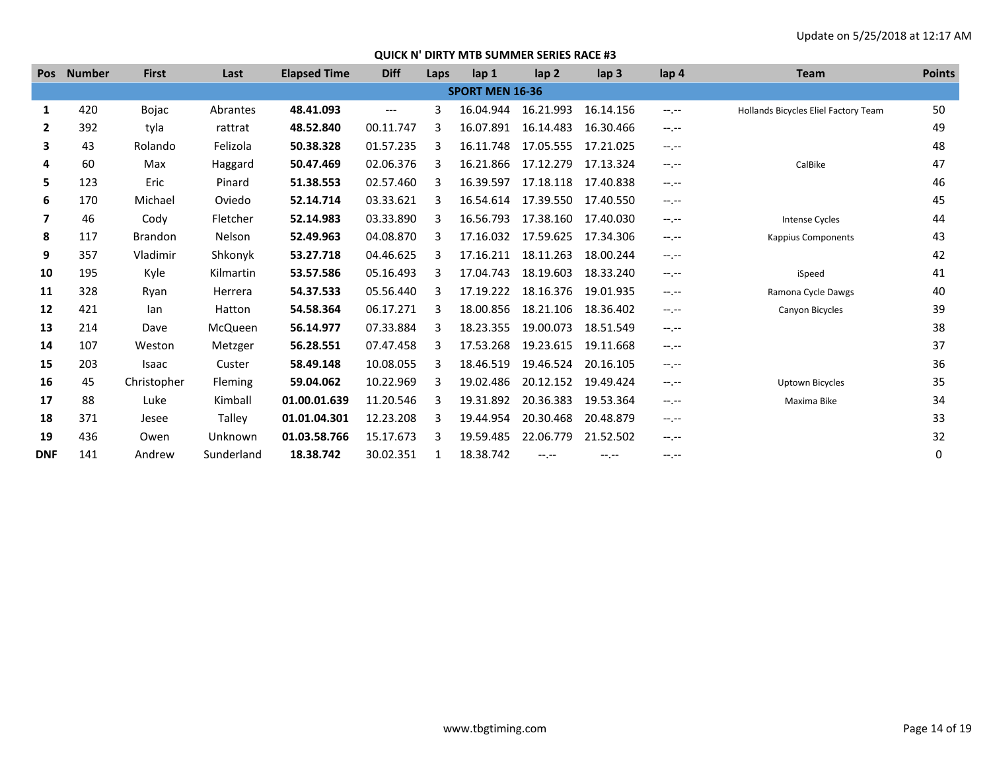| <b>Pos</b> | <b>Number</b> | <b>First</b>   | Last           | <b>Elapsed Time</b> | <b>Diff</b> | Laps | lap <sub>1</sub>       | lap <sub>2</sub> | $\mathsf{lap} 3$ | lap <sub>4</sub> | <b>Team</b>                          | <b>Points</b> |
|------------|---------------|----------------|----------------|---------------------|-------------|------|------------------------|------------------|------------------|------------------|--------------------------------------|---------------|
|            |               |                |                |                     |             |      | <b>SPORT MEN 16-36</b> |                  |                  |                  |                                      |               |
| 1          | 420           | <b>Bojac</b>   | Abrantes       | 48.41.093           | $---$       | 3    | 16.04.944              | 16.21.993        | 16.14.156        | $-1 - 1 - 1 = 0$ | Hollands Bicycles Eliel Factory Team | 50            |
| 2          | 392           | tyla           | rattrat        | 48.52.840           | 00.11.747   | З    | 16.07.891              | 16.14.483        | 16.30.466        | $-1.1 -$         |                                      | 49            |
| 3          | 43            | Rolando        | Felizola       | 50.38.328           | 01.57.235   | 3    | 16.11.748              | 17.05.555        | 17.21.025        | $-1 - 1 - 1 = 0$ |                                      | 48            |
| 4          | 60            | Max            | Haggard        | 50.47.469           | 02.06.376   | 3    | 16.21.866              | 17.12.279        | 17.13.324        | $-1.1 -$         | CalBike                              | 47            |
| 5          | 123           | Eric           | Pinard         | 51.38.553           | 02.57.460   | З    | 16.39.597              | 17.18.118        | 17.40.838        | $-1.1 -$         |                                      | 46            |
| 6          | 170           | Michael        | Oviedo         | 52.14.714           | 03.33.621   | 3    | 16.54.614              | 17.39.550        | 17.40.550        | $-1 - 1 - 1 = 0$ |                                      | 45            |
| 7          | 46            | Cody           | Fletcher       | 52.14.983           | 03.33.890   | 3    | 16.56.793              | 17.38.160        | 17.40.030        | $-1.1 -$         | Intense Cycles                       | 44            |
| 8          | 117           | <b>Brandon</b> | Nelson         | 52.49.963           | 04.08.870   | 3    | 17.16.032              | 17.59.625        | 17.34.306        | $-1.1 -$         | <b>Kappius Components</b>            | 43            |
| 9          | 357           | Vladimir       | Shkonyk        | 53.27.718           | 04.46.625   | 3    | 17.16.211              | 18.11.263        | 18.00.244        | $-1 - 1 - 1 = 0$ |                                      | 42            |
| 10         | 195           | Kyle           | Kilmartin      | 53.57.586           | 05.16.493   | 3    | 17.04.743              | 18.19.603        | 18.33.240        | $-1$ , $-1$      | iSpeed                               | 41            |
| 11         | 328           | Ryan           | Herrera        | 54.37.533           | 05.56.440   | 3    | 17.19.222              | 18.16.376        | 19.01.935        | $-1.1 -$         | Ramona Cycle Dawgs                   | 40            |
| 12         | 421           | lan            | Hatton         | 54.58.364           | 06.17.271   | З    | 18.00.856              | 18.21.106        | 18.36.402        | $-1$ , $-1$      | Canyon Bicycles                      | 39            |
| 13         | 214           | Dave           | <b>McQueen</b> | 56.14.977           | 07.33.884   | 3    | 18.23.355              | 19.00.073        | 18.51.549        | $-1. - -$        |                                      | 38            |
| 14         | 107           | Weston         | Metzger        | 56.28.551           | 07.47.458   | З    | 17.53.268              | 19.23.615        | 19.11.668        | $-1.1 -$         |                                      | 37            |
| 15         | 203           | Isaac          | Custer         | 58.49.148           | 10.08.055   | З    | 18.46.519              | 19.46.524        | 20.16.105        | $-1 - 1 - 1 = 0$ |                                      | 36            |
| 16         | 45            | Christopher    | Fleming        | 59.04.062           | 10.22.969   | 3    | 19.02.486              | 20.12.152        | 19.49.424        | $-1$ , $-1$      | <b>Uptown Bicycles</b>               | 35            |
| 17         | 88            | Luke           | Kimball        | 01.00.01.639        | 11.20.546   | З    | 19.31.892              | 20.36.383        | 19.53.364        | $-1.1 -$         | Maxima Bike                          | 34            |
| 18         | 371           | Jesee          | Talley         | 01.01.04.301        | 12.23.208   | 3    | 19.44.954              | 20.30.468        | 20.48.879        | $-1$ , $-1$      |                                      | 33            |
| 19         | 436           | Owen           | Unknown        | 01.03.58.766        | 15.17.673   | З    | 19.59.485              | 22.06.779        | 21.52.502        | $-1. - -$        |                                      | 32            |
| <b>DNF</b> | 141           | Andrew         | Sunderland     | 18.38.742           | 30.02.351   |      | 18.38.742              | --.--            | $-1. -1$         | $-1. - -$        |                                      | 0             |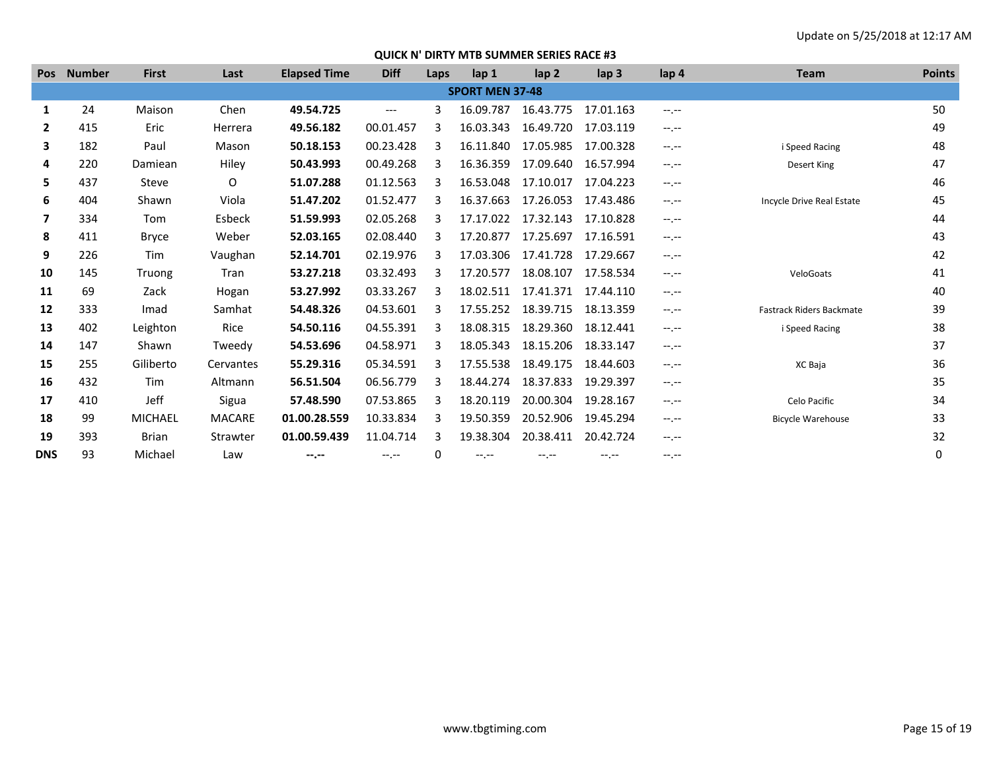| <b>Pos</b>   | <b>Number</b> | <b>First</b>   | Last      | <b>Elapsed Time</b> | <b>Diff</b> | Laps | lap 1                  | lap <sub>2</sub> | lap <sub>3</sub> | lap 4            | <b>Team</b>                     | <b>Points</b> |
|--------------|---------------|----------------|-----------|---------------------|-------------|------|------------------------|------------------|------------------|------------------|---------------------------------|---------------|
|              |               |                |           |                     |             |      | <b>SPORT MEN 37-48</b> |                  |                  |                  |                                 |               |
| 1            | 24            | Maison         | Chen      | 49.54.725           | $---$       | 3    | 16.09.787              | 16.43.775        | 17.01.163        | $-1$ , $-1$      |                                 | 50            |
| $\mathbf{2}$ | 415           | Eric           | Herrera   | 49.56.182           | 00.01.457   | 3    | 16.03.343              | 16.49.720        | 17.03.119        | $-1. - -$        |                                 | 49            |
| 3            | 182           | Paul           | Mason     | 50.18.153           | 00.23.428   | ₹    | 16.11.840              | 17.05.985        | 17.00.328        | $-1. - -$        | i Speed Racing                  | 48            |
| 4            | 220           | Damiean        | Hiley     | 50.43.993           | 00.49.268   | 3    | 16.36.359              | 17.09.640        | 16.57.994        | $-1$ , $-1$      | Desert King                     | 47            |
| 5            | 437           | Steve          | 0         | 51.07.288           | 01.12.563   | ₹    | 16.53.048              | 17.10.017        | 17.04.223        | $-1. - -$        |                                 | 46            |
| 6            | 404           | Shawn          | Viola     | 51.47.202           | 01.52.477   | 3    | 16.37.663              | 17.26.053        | 17.43.486        | $-1. - -$        | Incycle Drive Real Estate       | 45            |
| 7            | 334           | Tom            | Esbeck    | 51.59.993           | 02.05.268   | 3    | 17.17.022              | 17.32.143        | 17.10.828        | $-1$ , $-1$      |                                 | 44            |
| 8            | 411           | <b>Bryce</b>   | Weber     | 52.03.165           | 02.08.440   | 3    | 17.20.877              | 17.25.697        | 17.16.591        | $-1. - -$        |                                 | 43            |
| 9            | 226           | Tim            | Vaughan   | 52.14.701           | 02.19.976   | 3    | 17.03.306              | 17.41.728        | 17.29.667        | $-1. - -$        |                                 | 42            |
| 10           | 145           | Truong         | Tran      | 53.27.218           | 03.32.493   |      | 17.20.577              | 18.08.107        | 17.58.534        | $-1$ , $-1$      | VeloGoats                       | 41            |
| 11           | 69            | Zack           | Hogan     | 53.27.992           | 03.33.267   | 3    | 18.02.511              | 17.41.371        | 17.44.110        | $-1. - -$        |                                 | 40            |
| 12           | 333           | Imad           | Samhat    | 54.48.326           | 04.53.601   | २    | 17.55.252              | 18.39.715        | 18.13.359        | $-1.1 -$         | <b>Fastrack Riders Backmate</b> | 39            |
| 13           | 402           | Leighton       | Rice      | 54.50.116           | 04.55.391   | 3    | 18.08.315              | 18.29.360        | 18.12.441        | $-1. - -$        | i Speed Racing                  | 38            |
| 14           | 147           | Shawn          | Tweedy    | 54.53.696           | 04.58.971   | ₹    | 18.05.343              | 18.15.206        | 18.33.147        | $-1 - 1 - 1 = 0$ |                                 | 37            |
| 15           | 255           | Giliberto      | Cervantes | 55.29.316           | 05.34.591   | 3    | 17.55.538              | 18.49.175        | 18.44.603        | $-1.1 -$         | XC Baja                         | 36            |
| 16           | 432           | Tim            | Altmann   | 56.51.504           | 06.56.779   | 3    | 18.44.274              | 18.37.833        | 19.29.397        | $-1. - -$        |                                 | 35            |
| 17           | 410           | Jeff           | Sigua     | 57.48.590           | 07.53.865   | २    | 18.20.119              | 20.00.304        | 19.28.167        | $-1$ , $-1$      | Celo Pacific                    | 34            |
| 18           | 99            | <b>MICHAEL</b> | MACARE    | 01.00.28.559        | 10.33.834   | 3    | 19.50.359              | 20.52.906        | 19.45.294        | $-1. - -$        | <b>Bicycle Warehouse</b>        | 33            |
| 19           | 393           | <b>Brian</b>   | Strawter  | 01.00.59.439        | 11.04.714   | 3    | 19.38.304              | 20.38.411        | 20.42.724        | $-1 - 1 - 1 = 0$ |                                 | 32            |
| <b>DNS</b>   | 93            | Michael        | Law       | --.--               | $-1$ , $-1$ | 0    | $-1$ , $-1$            | $-1 - 1 - 1 = 0$ | $-1$ , $-1$      | $-1$ , $-1$      |                                 | 0             |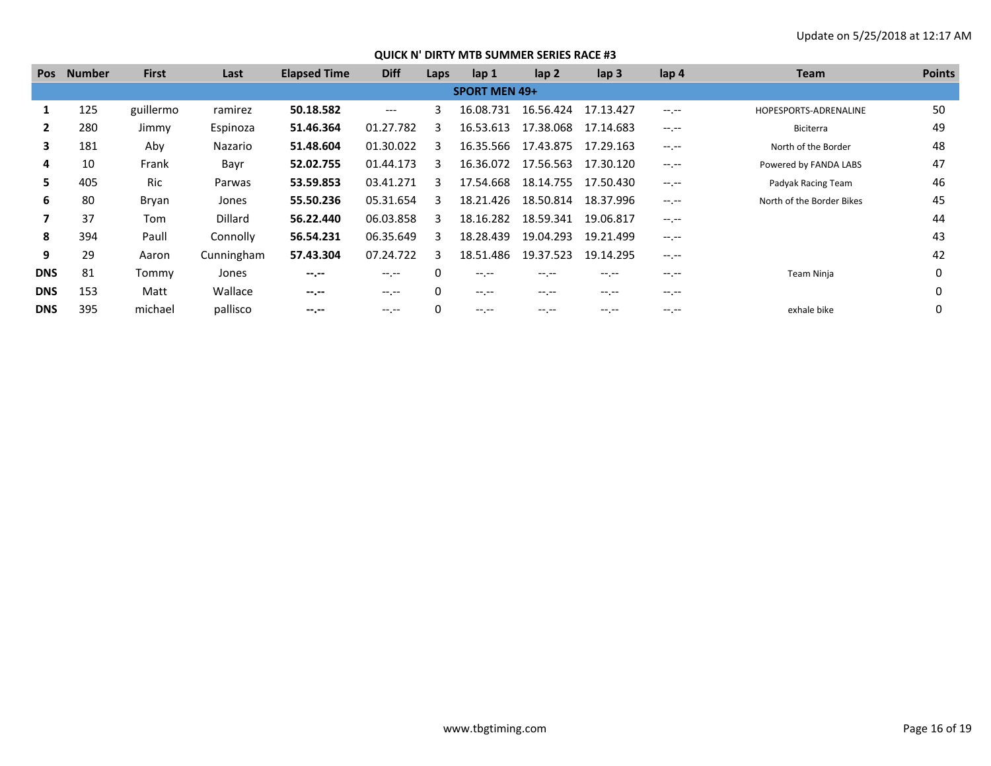| <b>Pos</b> | <b>Number</b>        | <b>First</b> | Last           | <b>Elapsed Time</b> | <b>Diff</b> | Laps         | lap 1            | $\mathsf{lap} 2$ | lap <sub>3</sub>                              | lap 4       | <b>Team</b>               | <b>Points</b> |  |  |
|------------|----------------------|--------------|----------------|---------------------|-------------|--------------|------------------|------------------|-----------------------------------------------|-------------|---------------------------|---------------|--|--|
|            | <b>SPORT MEN 49+</b> |              |                |                     |             |              |                  |                  |                                               |             |                           |               |  |  |
| ш          | 125                  | guillermo    | ramirez        | 50.18.582           | ---         | 3            | 16.08.731        | 16.56.424        | 17.13.427                                     | $-1$ , $-1$ | HOPESPORTS-ADRENALINE     | 50            |  |  |
|            | 280                  | Jimmy        | Espinoza       | 51.46.364           | 01.27.782   | ੨            | 16.53.613        | 17.38.068        | 17.14.683                                     | $-1$ , $-1$ | Biciterra                 | 49            |  |  |
| 3          | 181                  | Aby          | Nazario        | 51.48.604           | 01.30.022   | ર            | 16.35.566        | 17.43.875        | 17.29.163                                     | $-1$ , $-1$ | North of the Border       | 48            |  |  |
| 4          | 10                   | Frank        | Bayr           | 52.02.755           | 01.44.173   | ર            | 16.36.072        | 17.56.563        | 17.30.120                                     |             | Powered by FANDA LABS     | 47            |  |  |
| 5.         | 405                  | <b>Ric</b>   | Parwas         | 53.59.853           | 03.41.271   | з            | 17.54.668        | 18.14.755        | 17.50.430                                     | $-1$ , $-1$ | Padyak Racing Team        | 46            |  |  |
| 6          | 80                   | Bryan        | Jones          | 55.50.236           | 05.31.654   | з            | 18.21.426        | 18.50.814        | 18.37.996                                     | $-1$ , $-1$ | North of the Border Bikes | 45            |  |  |
|            | 37                   | Tom          | <b>Dillard</b> | 56.22.440           | 06.03.858   | २            | 18.16.282        | 18.59.341        | 19.06.817                                     | $-1$ , $-1$ |                           | 44            |  |  |
| 8          | 394                  | Paull        | Connolly       | 56.54.231           | 06.35.649   | 3            | 18.28.439        | 19.04.293        | 19.21.499                                     | $-1$ .      |                           | 43            |  |  |
| 9          | 29                   | Aaron        | Cunningham     | 57.43.304           | 07.24.722   | з            | 18.51.486        | 19.37.523        | 19.14.295                                     | $-1$ , $-1$ |                           | 42            |  |  |
| <b>DNS</b> | 81                   | Tommy        | Jones          | $-1$ , $-1$         | $-1. - -$   | $\mathbf{0}$ | $-1. - -$        | $-1 - 1 - 1 = 0$ | $-1.1 -$                                      | $-1.1 -$    | Team Ninja                | 0             |  |  |
| <b>DNS</b> | 153                  | Matt         | Wallace        | $-1$ , $-1$         | $-1. - -$   | 0            | $-1 - 1 - 1 = 0$ | $- - - - -$      | $-1.1 -$                                      | $-1$ , $-1$ |                           | 0             |  |  |
| <b>DNS</b> | 395                  | michael      | pallisco       | --.--               | $-1. - -$   | 0            |                  | -- --            | $\hspace{1.5cm} \cdots \hspace{1.5cm} \cdots$ | $---$       | exhale bike               |               |  |  |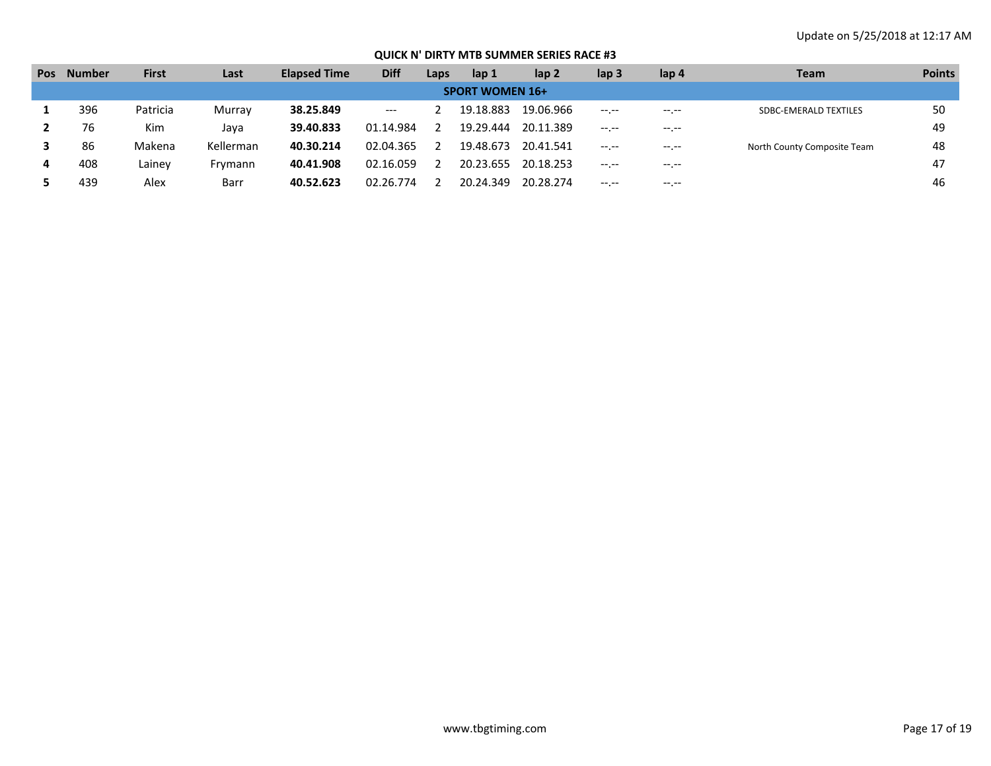| <b>Pos</b> | <b>Number</b>          | <b>First</b> | Last      | <b>Elapsed Time</b> | <b>Diff</b>                              | Laps | lap 1     | lap <sub>2</sub> | lap <sub>3</sub> | lap 4       | <b>Team</b>                  | <b>Points</b> |  |  |  |
|------------|------------------------|--------------|-----------|---------------------|------------------------------------------|------|-----------|------------------|------------------|-------------|------------------------------|---------------|--|--|--|
|            | <b>SPORT WOMEN 16+</b> |              |           |                     |                                          |      |           |                  |                  |             |                              |               |  |  |  |
|            | 396                    | Patricia     | Murray    | 38.25.849           | $\hspace{0.05cm} \ldots \hspace{0.05cm}$ |      | 19.18.883 | 19.06.966        | $-1 - 1 - 1 = 0$ | $- - - - -$ | <b>SDBC-EMERALD TEXTILES</b> | 50            |  |  |  |
|            | 76                     | Kim          | Java      | 39.40.833           | 01.14.984                                |      | 19.29.444 | 20.11.389        | $-1$ , $-1$      | $-1. - -$   |                              | 49            |  |  |  |
|            | 86                     | Makena       | Kellerman | 40.30.214           | 02.04.365                                |      | 19.48.673 | 20.41.541        | $-1$ , $-1$      | $- - - - -$ | North County Composite Team  | 48            |  |  |  |
|            | 408                    | Lainev       | Frymann   | 40.41.908           | 02.16.059                                |      | 20.23.655 | 20.18.253        | $-1. - -$        | $- - - - -$ |                              | 47            |  |  |  |
|            | 439                    | Alex         | Barr      | 40.52.623           | 02.26.774                                |      | 20.24.349 | 20.28.274        | $-1$ , $-1$      | $-1. - -$   |                              | 46            |  |  |  |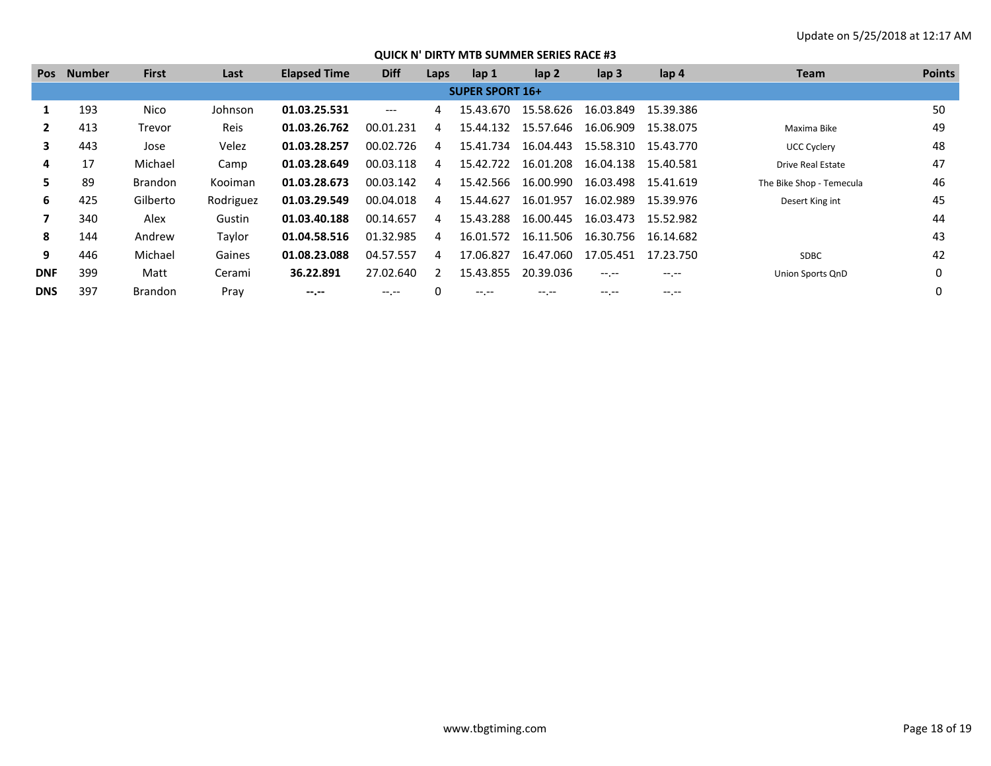| <b>Pos</b>   | <b>Number</b> | <b>First</b>   | Last        | <b>Elapsed Time</b> | <b>Diff</b> | Laps | lap 1                          | lap <sub>2</sub> | lap <sub>3</sub> | lap 4       | Team                     | <b>Points</b> |
|--------------|---------------|----------------|-------------|---------------------|-------------|------|--------------------------------|------------------|------------------|-------------|--------------------------|---------------|
|              |               |                |             |                     |             |      | <b>SUPER SPORT 16+</b>         |                  |                  |             |                          |               |
|              | 193           | Nico           | Johnson     | 01.03.25.531        | $---$       | 4    | 15.43.670                      | 15.58.626        | 16.03.849        | 15.39.386   |                          | 50            |
| $\mathbf{2}$ | 413           | Trevor         | <b>Reis</b> | 01.03.26.762        | 00.01.231   | 4    | 15.44.132                      | 15.57.646        | 16.06.909        | 15.38.075   | Maxima Bike              | 49            |
| 3            | 443           | Jose           | Velez       | 01.03.28.257        | 00.02.726   | 4    | 15.41.734                      | 16.04.443        | 15.58.310        | 15.43.770   | <b>UCC Cyclery</b>       | 48            |
| 4            | 17            | Michael        | Camp        | 01.03.28.649        | 00.03.118   | 4    | 15.42.722                      | 16.01.208        | 16.04.138        | 15.40.581   | <b>Drive Real Estate</b> | 47            |
| 5.           | 89            | <b>Brandon</b> | Kooiman     | 01.03.28.673        | 00.03.142   | 4    | 15.42.566                      | 16.00.990        | 16.03.498        | 15.41.619   | The Bike Shop - Temecula | 46            |
| 6            | 425           | Gilberto       | Rodriguez   | 01.03.29.549        | 00.04.018   | 4    | 15.44.627                      | 16.01.957        | 16.02.989        | 15.39.976   | Desert King int          | 45            |
|              | 340           | Alex           | Gustin      | 01.03.40.188        | 00.14.657   | 4    | 15.43.288                      | 16.00.445        | 16.03.473        | 15.52.982   |                          | 44            |
| 8            | 144           | Andrew         | Taylor      | 01.04.58.516        | 01.32.985   | 4    | 16.01.572                      | 16.11.506        | 16.30.756        | 16.14.682   |                          | 43            |
| 9            | 446           | Michael        | Gaines      | 01.08.23.088        | 04.57.557   | 4    | 17.06.827                      | 16.47.060        | 17.05.451        | 17.23.750   | <b>SDBC</b>              | 42            |
| <b>DNF</b>   | 399           | Matt           | Cerami      | 36.22.891           | 27.02.640   |      | 15.43.855                      | 20.39.036        |                  | $-1$ . $-1$ | Union Sports QnD         | 0             |
| <b>DNS</b>   | 397           | <b>Brandon</b> | Pray        | --.-                | $-1. - -$   |      | $\cdots \hspace{0.1cm} \cdots$ | -- --            | -- --            | -- --       |                          |               |